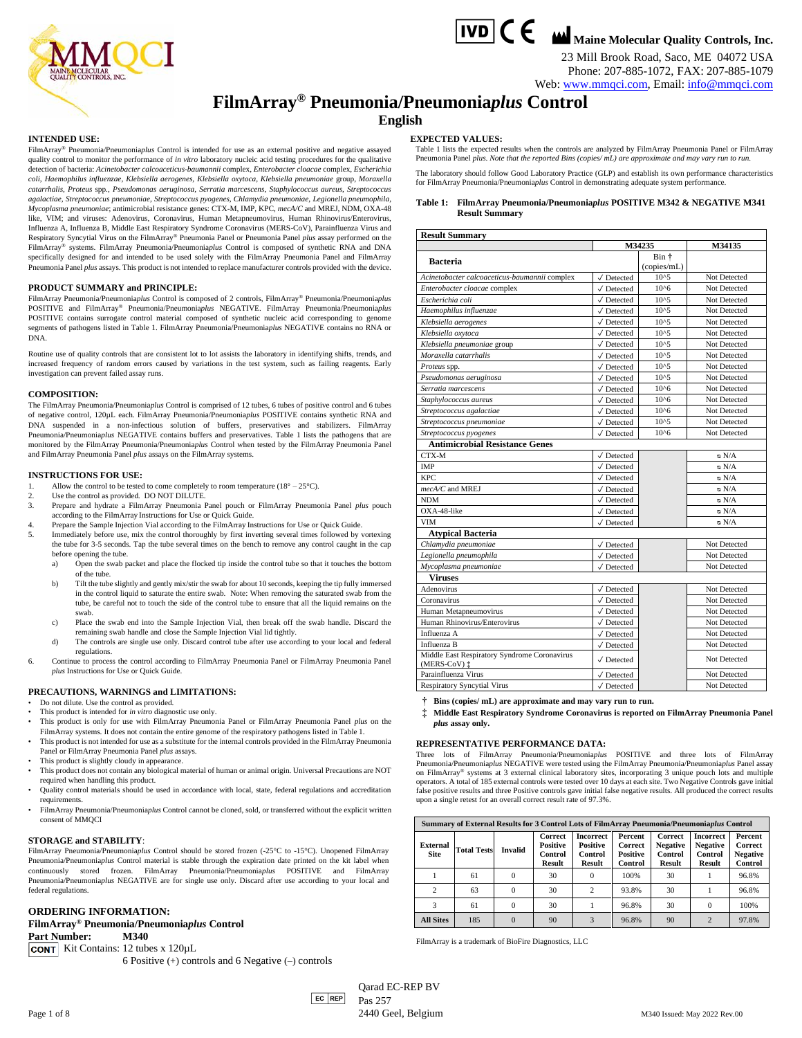



23 Mill Brook Road, Saco, ME 04072 USA Phone: 207-885-1072, FAX: 207-885-1079

Web: [www.mmqci.com,](http://www.mmqci.com/) Email: [info@mmqci.com](mailto:info@mmqci.com)

## **FilmArray® Pneumonia/Pneumonia***plus* **Control**

#### **English**

#### **INTENDED USE:**

FilmArray® Pneumonia/Pneumonia*plus* Control is intended for use as an external positive and negative assayed quality control to monitor the performance of *in vitro* laboratory nucleic acid testing procedures for the qualitative detection of bacteria: *Acinetobacter calcoaceticus-baumannii* complex, *Enterobacter cloacae* complex, *Escherichia coli*, *Haemophilus influenzae, Klebsiella aerogenes, Klebsiella oxytoca*, *Klebsiella pneumoniae* group, *Moraxella catarrhalis*, *Proteus* spp., *Pseudomonas aeruginosa*, *Serratia marcescens*, *Staphylococcus aureus*, *Streptococcus agalactiae*, *Streptococcus pneumoniae*, *Streptococcus pyogenes*, *Chlamydia pneumoniae*, *Legionella pneumophila*, *Mycoplasma pneumoniae*; antimicrobial resistance genes: CTX-M, IMP, KPC, *mecA/C* and MREJ, NDM, OXA-48 like, VIM; and viruses: Adenovirus, Coronavirus, Human Metapneumovirus, Human Rhinovirus/Enterovirus, Influenza A, Influenza B, Middle East Respiratory Syndrome Coronavirus (MERS-CoV), Parainfluenza Virus and Respiratory Syncytial Virus on the FilmArray® Pneumonia Panel or Pneumonia Panel *plus* assay performed on the FilmArray® systems. FilmArray Pneumonia/Pneumonia*plus* Control is composed of synthetic RNA and DNA specifically designed for and intended to be used solely with the FilmArray Pneumonia Panel and FilmArray Pneumonia Panel *plus* assays. This product is not intended to replace manufacturer controls provided with the device.

#### **PRODUCT SUMMARY and PRINCIPLE:**

FilmArray Pneumonia/Pneumonia*plus* Control is composed of 2 controls, FilmArray® Pneumonia/Pneumonia*plus* POSITIVE and FilmArray® Pneumonia/Pneumonia*plus* NEGATIVE. FilmArray Pneumonia/Pneumonia*plus* POSITIVE contains surrogate control material composed of synthetic nucleic acid corresponding to genome segments of pathogens listed in Table 1. FilmArray Pneumonia/Pneumonia*plus* NEGATIVE contains no RNA or DNA.

Routine use of quality controls that are consistent lot to lot assists the laboratory in identifying shifts, trends, and increased frequency of random errors caused by variations in the test system, such as failing reagents. Early investigation can prevent failed assay runs.

#### **COMPOSITION:**

The FilmArray Pneumonia/Pneumonia*plus* Control is comprised of 12 tubes, 6 tubes of positive control and 6 tubes of negative control, 120µL each. FilmArray Pneumonia/Pneumonia*plus* POSITIVE contains synthetic RNA and DNA suspended in a non-infectious solution of buffers, preservatives and stabilizers. FilmArray Pneumonia/Pneumonia*plus* NEGATIVE contains buffers and preservatives. Table 1 lists the pathogens that are monitored by the FilmArray Pneumonia/Pneumonia*plus* Control when tested by the FilmArray Pneumonia Panel and FilmArray Pneumonia Panel *plus* assays on the FilmArray systems.

#### **INSTRUCTIONS FOR USE:**

- Allow the control to be tested to come completely to room temperature ( $18^{\circ} 25^{\circ}$ C).
- Use the control as provided. DO NOT DILUTE.
- 3. Prepare and hydrate a FilmArray Pneumonia Panel pouch or FilmArray Pneumonia Panel *plus* pouch according to the FilmArray Instructions for Use or Quick Guide.
- 4. Prepare the Sample Injection Vial according to the FilmArray Instructions for Use or Quick Guide.
- 5. Immediately before use, mix the control thoroughly by first inverting several times followed by vortexing the tube for 3-5 seconds. Tap the tube several times on the bench to remove any control caught in the cap before opening the tube.
	- a) Open the swab packet and place the flocked tip inside the control tube so that it touches the bottom of the tube.
	- b) Tilt the tube slightly and gently mix/stir the swab for about 10 seconds, keeping the tip fully immersed in the control liquid to saturate the entire swab. Note: When removing the saturated swab from the tube, be careful not to touch the side of the control tube to ensure that all the liquid remains on the swab.
	- c) Place the swab end into the Sample Injection Vial, then break off the swab handle. Discard the remaining swab handle and close the Sample Injection Vial lid tightly.
	- d) The controls are single use only. Discard control tube after use according to your local and federal regulations.
- 6. Continue to process the control according to FilmArray Pneumonia Panel or FilmArray Pneumonia Panel *plus* Instructions for Use or Quick Guide.

#### **PRECAUTIONS, WARNINGS and LIMITATIONS:**

- Do not dilute. Use the control as provided.
- This product is intended for *in vitro* diagnostic use only.
- This product is only for use with FilmArray Pneumonia Panel or FilmArray Pneumonia Panel *plus* on the FilmArray systems. It does not contain the entire genome of the respiratory pathogens listed in Table 1.
- This product is not intended for use as a substitute for the internal controls provided in the FilmArray Pneumonia Panel or FilmArray Pneumonia Panel *plus* assays.
- This product is slightly cloudy in appearance.
- This product does not contain any biological material of human or animal origin. Universal Precautions are NOT required when handling this product.
- Quality control materials should be used in accordance with local, state, federal regulations and accreditation requirements.
- FilmArray Pneumonia/Pneumonia*plus* Control cannot be cloned, sold, or transferred without the explicit written consent of MMQCI

#### **STORAGE and STABILITY**:

FilmArray Pneumonia/Pneumonia*plus* Control should be stored frozen (-25°C to -15°C). Unopened FilmArray Pneumonia/Pneumonia*plus* Control material is stable through the expiration date printed on the kit label when continuously stored frozen. FilmArray Pneumonia/Pneumonia*plus* POSITIVE and FilmArray Pneumonia/Pneumonia*plus* NEGATIVE are for single use only. Discard after use according to your local and federal regulations.

#### **ORDERING INFORMATION:**

#### **FilmArray® Pneumonia/Pneumonia***plus* **Control**

**Part Number: M340**

**CONT** Kit Contains: 12 tubes x 120µL

6 Positive (+) controls and 6 Negative (–) controls

#### **EXPECTED VALUES:**

Table 1 lists the expected results when the controls are analyzed by FilmArray Pneumonia Panel or FilmArray Pneumonia Panel *plus*. *Note that the reported Bins (copies/ mL) are approximate and may vary run to run.*

The laboratory should follow Good Laboratory Practice (GLP) and establish its own performance characteristics for FilmArray Pneumonia/Pneumonia*plus* Control in demonstrating adequate system performance.

#### **Table 1: FilmArray Pneumonia/Pneumonia***plus* **POSITIVE M342 & NEGATIVE M341 Result Summary**

| <b>Result Summary</b>                                        |                               |             |               |  |  |  |
|--------------------------------------------------------------|-------------------------------|-------------|---------------|--|--|--|
|                                                              |                               | M34235      | <b>M34135</b> |  |  |  |
| <b>Bacteria</b>                                              |                               | Bin +       |               |  |  |  |
|                                                              |                               | (copies/mL) |               |  |  |  |
| Acinetobacter calcoaceticus-baumannii complex                | $\sqrt{}$ Detected            | $10^{5}$    | Not Detected  |  |  |  |
| Enterobacter cloacae complex                                 | $\sqrt{}$ Detected            | 10^6        | Not Detected  |  |  |  |
| Escherichia coli                                             | $\sqrt{}$ Detected            | $10^{4}5$   | Not Detected  |  |  |  |
| Haemophilus influenzae                                       | $\sqrt{}$ Detected            | $10^{5}$    | Not Detected  |  |  |  |
| Klebsiella aerogenes                                         | $\sqrt{}$ Detected            | $10^{5}$    | Not Detected  |  |  |  |
| Klebsiella oxytoca                                           | $\sqrt{}$ Detected            | $10^{5}$    | Not Detected  |  |  |  |
| Klebsiella pneumoniae group                                  | $\sqrt{}$ Detected            | $10^{5}$    | Not Detected  |  |  |  |
| Moraxella catarrhalis                                        | $\sqrt{}$ Detected            | $10^{5}$    | Not Detected  |  |  |  |
| Proteus spp.                                                 | $\sqrt{}$ Detected            | $10^{5}$    | Not Detected  |  |  |  |
| Pseudomonas aeruginosa                                       | $\sqrt{}$ Detected            | $10^{5}$    | Not Detected  |  |  |  |
| Serratia marcescens                                          | $\sqrt{}$ Detected            | $10^{6}$    | Not Detected  |  |  |  |
| Staphylococcus aureus                                        | $\sqrt{}$ Detected            | 10^6        | Not Detected  |  |  |  |
| Streptococcus agalactiae                                     | $\sqrt{}$ Detected            | 10^6        | Not Detected  |  |  |  |
| Streptococcus pneumoniae                                     | $\sqrt{}$ Detected            | $10^{5}$    | Not Detected  |  |  |  |
| Streptococcus pyogenes                                       | $\sqrt{}$ Detected            | $10^{6}$    | Not Detected  |  |  |  |
| <b>Antimicrobial Resistance Genes</b>                        |                               |             |               |  |  |  |
| CTX-M                                                        | $\sqrt{}$ Detected            |             | N/A ∞         |  |  |  |
| <b>IMP</b>                                                   | $\sqrt{}$ Detected            |             | $\circ$ N/A   |  |  |  |
| KPC.                                                         | $\sqrt{}$ Detected            |             | $\circ$ N/A   |  |  |  |
| $mecA/C$ and MREI                                            | $\sqrt{}$ Detected            |             | $\circ$ N/A   |  |  |  |
| <b>NDM</b>                                                   | $\sqrt{}$ Detected            |             | $\circ$ N/A   |  |  |  |
| OXA-48-like                                                  | $\sqrt{}$ Detected            |             | $\circ$ N/A   |  |  |  |
| <b>VIM</b>                                                   | $\sqrt{}$ Detected            |             | $\circ$ N/A   |  |  |  |
| <b>Atypical Bacteria</b>                                     |                               |             |               |  |  |  |
| Chlamydia pneumoniae                                         | $\sqrt{}$ Detected            |             | Not Detected  |  |  |  |
| Legionella pneumophila                                       | $\sqrt{}$ Detected            |             | Not Detected  |  |  |  |
| Mycoplasma pneumoniae                                        | $\sqrt{}$ Detected            |             | Not Detected  |  |  |  |
| <b>Viruses</b>                                               |                               |             |               |  |  |  |
| Adenovirus                                                   | $\sqrt{}$ Detected            |             | Not Detected  |  |  |  |
| Coronavirus                                                  | $\sqrt{}$ Detected            |             | Not Detected  |  |  |  |
| Human Metapneumovirus                                        | $\sqrt{}$ Detected            |             | Not Detected  |  |  |  |
| Human Rhinovirus/Enterovirus                                 | $\sqrt{}$ Detected            |             | Not Detected  |  |  |  |
| Influenza A                                                  | $\sqrt{}$ Detected            |             | Not Detected  |  |  |  |
| Influenza B                                                  | $\sqrt{}$ Detected            |             | Not Detected  |  |  |  |
| Middle East Respiratory Syndrome Coronavirus<br>(MERS-CoV) ± | $\sqrt{}$ Detected            |             | Not Detected  |  |  |  |
| Parainfluenza Virus                                          | $\sqrt{\phantom{a}}$ Detected |             | Not Detected  |  |  |  |
| <b>Respiratory Syncytial Virus</b>                           | $\sqrt{}$ Detected            |             | Not Detected  |  |  |  |

**† Bins (copies/ mL) are approximate and may vary run to run.**

**‡ Middle East Respiratory Syndrome Coronavirus is reported on FilmArray Pneumonia Panel**  *plus* **assay only.**

#### **REPRESENTATIVE PERFORMANCE DATA:**

Three lots of FilmArray Pneumonia/Pneumonia*plus* POSITIVE and three lots of FilmArray Pneumonia/Pneumonia*plus* NEGATIVE were tested using the FilmArray Pneumonia/Pneumonia*plus* Panel assay on FilmArray® systems at 3 external clinical laboratory sites, incorporating 3 unique pouch lots and multiple operators. A total of 185 external controls were tested over 10 days at each site. Two Negative Controls gave initial false positive results and three Positive controls gave initial false negative results. All produced the correct results upon a single retest for an overall correct result rate of 97.3%.

| Summary of External Results for 3 Control Lots of FilmArray Pneumonia/Pneumoniaplus Control |                    |                |                                                        |                                                                        |                                                  |                                                               |                                                                 |                                                         |
|---------------------------------------------------------------------------------------------|--------------------|----------------|--------------------------------------------------------|------------------------------------------------------------------------|--------------------------------------------------|---------------------------------------------------------------|-----------------------------------------------------------------|---------------------------------------------------------|
| External<br><b>Site</b>                                                                     | <b>Total Tests</b> | <b>Invalid</b> | Correct<br><b>Positive</b><br>Control<br><b>Result</b> | <b>Incorrect</b><br><b>Positive</b><br><b>Control</b><br><b>Result</b> | Percent<br>Correct<br><b>Positive</b><br>Control | <b>Correct</b><br><b>Negative</b><br>Control<br><b>Result</b> | <b>Incorrect</b><br><b>Negative</b><br>Control<br><b>Result</b> | Percent<br><b>Correct</b><br><b>Negative</b><br>Control |
|                                                                                             | 61                 | 0              | 30                                                     | 0                                                                      | 100%                                             | 30                                                            |                                                                 | 96.8%                                                   |
| $\mathfrak{D}$                                                                              | 63                 | 0              | 30                                                     | $\overline{c}$                                                         | 93.8%                                            | 30                                                            |                                                                 | 96.8%                                                   |
| 3                                                                                           | 61                 | 0              | 30                                                     |                                                                        | 96.8%                                            | 30                                                            | $\Omega$                                                        | 100%                                                    |
| <b>All Sites</b>                                                                            | 185                |                | 90                                                     | 3                                                                      | 96.8%                                            | 90                                                            | $\overline{c}$                                                  | 97.8%                                                   |

FilmArray is a trademark of BioFire Diagnostics, LLC

 $|EC|$ REP Qarad EC-REP BV Pas 257 Page 1 of 8 2440 Geel, Belgium M340 Issued: May 2022 Rev.00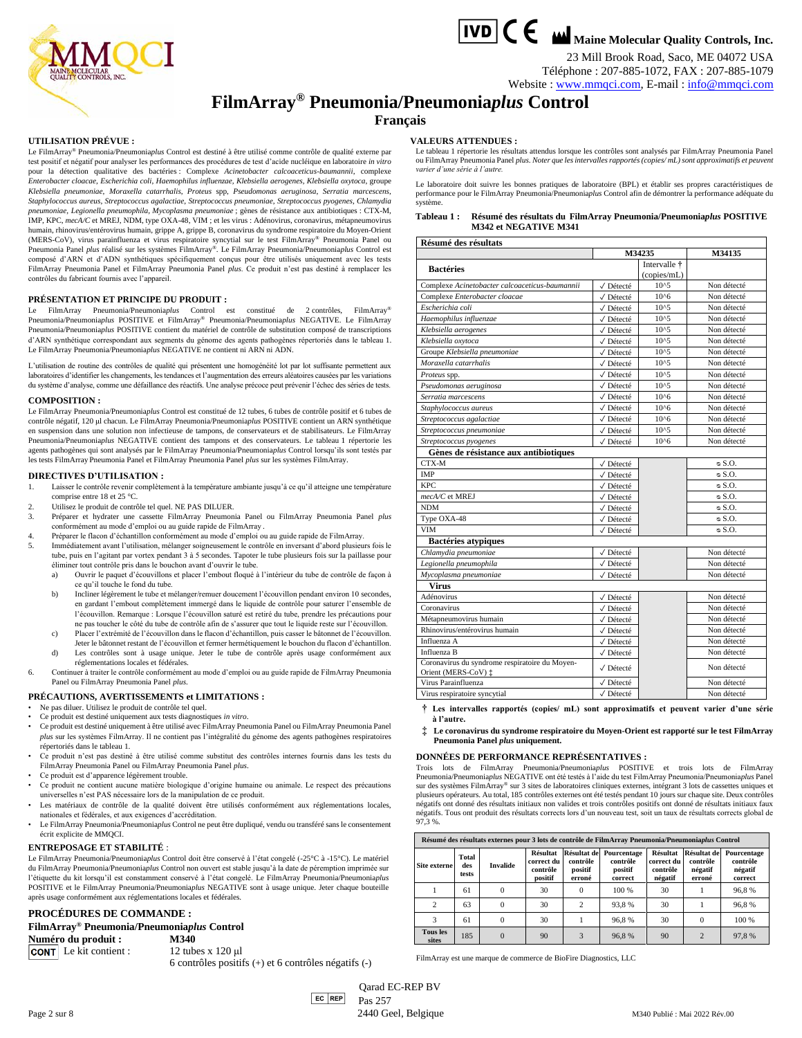

23 Mill Brook Road, Saco, ME 04072 USA Téléphone : 207-885-1072, FAX : 207-885-1079

### Website [: www.mmqci.com,](http://www.mmqci.com/) E-mail : [info@mmqci.com](mailto:info@mmqci.com)

## **FilmArray® Pneumonia/Pneumonia***plus* **Control**

#### **Français**

#### **UTILISATION PRÉVUE :**

Le FilmArray® Pneumonia/Pneumonia*plus* Control est destiné à être utilisé comme contrôle de qualité externe par test positif et négatif pour analyser les performances des procédures de test d'acide nucléique en laboratoire *in vitro*  pour la détection qualitative des bactéries : Complexe *Acinetobacter calcoaceticus-baumannii*, complexe *Enterobacter cloacae*, *Escherichia coli*, *Haemophilus influenzae, Klebsiella aerogenes, Klebsiella oxytoca*, groupe *Klebsiella pneumoniae*, *Moraxella catarrhalis*, *Proteus* spp, *Pseudomonas aeruginosa*, *Serratia marcescens*, *Staphylococcus aureus*, *Streptococcus agalactiae*, *Streptococcus pneumoniae*, *Streptococcus pyogenes*, *Chlamydia pneumoniae*, *Legionella pneumophila*, *Mycoplasma pneumoniae* ; gènes de résistance aux antibiotiques : CTX-M, IMP, KPC, *mecA/C* et MREJ, NDM, type OXA-48, VIM ; et les virus : Adénovirus, coronavirus, métapneumovirus humain, rhinovirus/entérovirus humain, grippe A, grippe B, coronavirus du syndrome respiratoire du Moyen-Orient (MERS-CoV), virus parainfluenza et virus respiratoire syncytial sur le test FilmArray® Pneumonia Panel ou<br>Pneumonia Panel *plus* réalisé sur les systèmes FilmArray®. Le FilmArray Pneumonia/Pneumonia*plus* Control est composé d'ARN et d'ADN synthétiques spécifiquement conçus pour être utilisés uniquement avec les tests FilmArray Pneumonia Panel et FilmArray Pneumonia Panel *plus*. Ce produit n'est pas destiné à remplacer les contrôles du fabricant fournis avec l'appareil.

#### **PRÉSENTATION ET PRINCIPE DU PRODUIT :**

Le FilmArray Pneumonia/Pneumonia*plus* Control est constitué de 2 contrôles, FilmArray® Pneumonia/Pneumonia*plus* POSITIVE et FilmArray® Pneumonia/Pneumonia*plus* NEGATIVE. Le FilmArray Pneumonia/Pneumonia*plus* POSITIVE contient du matériel de contrôle de substitution composé de transcriptions d'ARN synthétique correspondant aux segments du génome des agents pathogènes répertoriés dans le tableau 1. Le FilmArray Pneumonia/Pneumonia*plus* NEGATIVE ne contient ni ARN ni ADN.

L'utilisation de routine des contrôles de qualité qui présentent une homogénéité lot par lot suffisante permettent aux laboratoires d'identifier les changements, les tendances et l'augmentation des erreurs aléatoires causées par les variations du système d'analyse, comme une défaillance des réactifs. Une analyse précoce peut prévenir l'échec des séries de tests.

#### **COMPOSITION :**

Le FilmArray Pneumonia/Pneumonia*plus* Control est constitué de 12 tubes, 6 tubes de contrôle positif et 6 tubes de contrôle négatif, 120 μl chacun. Le FilmArray Pneumonia/Pneumonia*plus* POSITIVE contient un ARN synthétique en suspension dans une solution non infectieuse de tampons, de conservateurs et de stabilisateurs. Le FilmArray Pneumonia/Pneumonia*plus* NEGATIVE contient des tampons et des conservateurs. Le tableau 1 répertorie les agents pathogènes qui sont analysés par le FilmArray Pneumonia/Pneumonia*plus* Control lorsqu'ils sont testés par les tests FilmArray Pneumonia Panel et FilmArray Pneumonia Panel *plus* sur les systèmes FilmArray.

#### **DIRECTIVES D'UTILISATION :**

- 1. Laisser le contrôle revenir complètement à la température ambiante jusqu'à ce qu'il atteigne une température comprise entre 18 et 25 °C.
- 2. Utilisez le produit de contrôle tel quel. NE PAS DILUER.
- 3. Préparer et hydrater une cassette FilmArray Pneumonia Panel ou FilmArray Pneumonia Panel *plus* conformément au mode d'emploi ou au guide rapide de FilmArray .
- 4. Préparer le flacon d'échantillon conformément au mode d'emploi ou au guide rapide de FilmArray.
- Immédiatement avant l'utilisation, mélanger soigneusement le contrôle en inversant d'abord plusieurs fois le tube, puis en l'agitant par vortex pendant 3 à 5 secondes. Tapoter le tube plusieurs fois sur la paillasse pour éliminer tout contrôle pris dans le bouchon avant d'ouvrir le tube.
	- a) Ouvrir le paquet d'écouvillons et placer l'embout floqué à l'intérieur du tube de contrôle de façon à ce qu'il touche le fond du tube.
	- b) Incliner légèrement le tube et mélanger/remuer doucement l'écouvillon pendant environ 10 secondes, en gardant l'embout complètement immergé dans le liquide de contrôle pour saturer l'ensemble de l'écouvillon. Remarque : Lorsque l'écouvillon saturé est retiré du tube, prendre les précautions pour ne pas toucher le côté du tube de contrôle afin de s'assurer que tout le liquide reste sur l'écouvillon.
	- c) Placer l'extrémité de l'écouvillon dans le flacon d'échantillon, puis casser le bâtonnet de l'écouvillon. Jeter le bâtonnet restant de l'écouvillon et fermer hermétiquement le bouchon du flacon d'échantillon.
	- d) Les contrôles sont à usage unique. Jeter le tube de contrôle après usage conformément aux réglementations locales et fédérales.
- 6. Continuer à traiter le contrôle conformément au mode d'emploi ou au guide rapide de FilmArray Pneumonia Panel ou FilmArray Pneumonia Panel *plus*.

#### **PRÉCAUTIONS, AVERTISSEMENTS et LIMITATIONS :**

- Ne pas diluer. Utilisez le produit de contrôle tel quel.
- Ce produit est destiné uniquement aux tests diagnostiques *in vitro*.
- Ce produit est destiné uniquement à être utilisé avec FilmArray Pneumonia Panel ou FilmArray Pneumonia Panel *plus* sur les systèmes FilmArray. Il ne contient pas l'intégralité du génome des agents pathogènes respiratoires répertoriés dans le tableau 1.
- Ce produit n'est pas destiné à être utilisé comme substitut des contrôles internes fournis dans les tests du FilmArray Pneumonia Panel ou FilmArray Pneumonia Panel *plus*.
- Ce produit est d'apparence légèrement trouble.
- Ce produit ne contient aucune matière biologique d'origine humaine ou animale. Le respect des précautions universelles n'est PAS nécessaire lors de la manipulation de ce produit.
- Les matériaux de contrôle de la qualité doivent être utilisés conformément aux réglementations locales, nationales et fédérales, et aux exigences d'accréditation.
- Le FilmArray Pneumonia/Pneumonia*plus* Control ne peut être dupliqué, vendu ou transféré sans le consentement écrit explicite de MMQCI.

#### **ENTREPOSAGE ET STABILITÉ** :

Le FilmArray Pneumonia/Pneumonia*plus* Control doit être conservé à l'état congelé (-25°C à -15°C). Le matériel du FilmArray Pneumonia/Pneumonia*plus* Control non ouvert est stable jusqu'à la date de péremption imprimée sur l'étiquette du kit lorsqu'il est constamment conservé à l'état congelé. Le FilmArray Pneumonia/Pneumonia*plus* POSITIVE et le FilmArray Pneumonia/Pneumonia*plus* NEGATIVE sont à usage unique. Jeter chaque bouteille après usage conformément aux réglementations locales et fédérales.

#### **PROCÉDURES DE COMMANDE :**

### **FilmArray® Pneumonia/Pneumonia***plus* **Control**

**Numéro du produit : M340 CONT** Le kit contient :  $12 \text{ tubes} \times 120 \text{ µl}$ 

6 contrôles positifs (+) et 6 contrôles négatifs (-)

**VALEURS ATTENDUES :**

Le tableau 1 répertorie les résultats attendus lorsque les contrôles sont analysés par FilmArray Pneumonia Panel ou FilmArray Pneumonia Panel *plus*. *Noter que les intervalles rapportés (copies/ mL) sont approximatifs et peuvent varier d'une série à l'autre.*

Le laboratoire doit suivre les bonnes pratiques de laboratoire (BPL) et établir ses propres caractéristiques de performance pour le FilmArray Pneumonia/Pneumonia*plus* Control afin de démontrer la performance adéquate du système.

| Tableau 1: | Résumé des résultats du FilmArray Pneumonia/Pneumoniaplus POSITIVE |
|------------|--------------------------------------------------------------------|
|            | <b>M342 et NEGATIVE M341</b>                                       |

|  | Résumé des résultats |
|--|----------------------|
|  |                      |

| <b>Resume des resultats</b>                                           |           | M34235                              | M34135       |
|-----------------------------------------------------------------------|-----------|-------------------------------------|--------------|
| <b>Bactéries</b>                                                      |           | Intervalle $\dagger$<br>(copies/mL) |              |
| Complexe Acinetobacter calcoaceticus-baumannii                        | √ Détecté | $10^{4}5$                           | Non détecté  |
| Complexe Enterobacter cloacae                                         | √ Détecté | $10^{6}$                            | Non détecté  |
| Escherichia coli                                                      | √ Détecté | $10^{5}$                            | Non détecté  |
| Haemophilus influenzae                                                | √ Détecté | $10^{4}5$                           | Non détecté  |
| Klebsiella aerogenes                                                  | √ Détecté | $10^{5}$                            | Non détecté  |
| Klebsiella oxytoca                                                    | √ Détecté | $10^{5}$                            | Non détecté  |
| Groupe Klebsiella pneumoniae                                          | √ Détecté | $10^{5}$                            | Non détecté  |
| Moraxella catarrhalis                                                 | √ Détecté | $10^{5}$                            | Non détecté  |
| Proteus spp.                                                          | √ Détecté | $10^{5}$                            | Non détecté  |
| Pseudomonas aeruginosa                                                | √ Détecté | $10^{5}$                            | Non détecté  |
| Serratia marcescens                                                   | √ Détecté | 10^6                                | Non détecté  |
| Staphylococcus aureus                                                 | √ Détecté | $10^{6}$                            | Non détecté  |
| Streptococcus agalactiae                                              | √ Détecté | 10^6                                | Non détecté  |
| Streptococcus pneumoniae                                              | √ Détecté | $10^{5}$                            | Non détecté  |
| Streptococcus pyogenes                                                | √ Détecté | $10^{6}$                            | Non détecté  |
| Gènes de résistance aux antibiotiques                                 |           |                                     |              |
| CTX-M                                                                 | √ Détecté |                                     | $\in$ S.O.   |
| IMP                                                                   | √ Détecté |                                     | $\circ$ S.O. |
| KPC.                                                                  | √ Détecté |                                     | $\in$ S.O.   |
| mecA/C et MREJ                                                        | √ Détecté |                                     | $\circ$ S.O. |
| <b>NDM</b>                                                            | √ Détecté |                                     | $\circ$ S.O. |
| Type OXA-48                                                           | √ Détecté |                                     | $\circ$ S.O. |
| <b>VIM</b>                                                            | √ Détecté |                                     | $\circ$ S.O. |
| <b>Bactéries atypiques</b>                                            |           |                                     |              |
| Chlamydia pneumoniae                                                  | √ Détecté |                                     | Non détecté  |
| Legionella pneumophila                                                | √ Détecté |                                     | Non détecté  |
| Mycoplasma pneumoniae                                                 | √ Détecté |                                     | Non détecté  |
| <b>Virus</b>                                                          |           |                                     |              |
| Adénovirus                                                            | √ Détecté |                                     | Non détecté  |
| Coronavirus                                                           | √ Détecté |                                     | Non détecté  |
| Métapneumovirus humain                                                | √ Détecté |                                     | Non détecté  |
| Rhinovirus/entérovirus humain                                         | √ Détecté |                                     | Non détecté  |
| Influenza A                                                           | √ Détecté |                                     | Non détecté  |
| Influenza B                                                           | √ Détecté |                                     | Non détecté  |
| Coronavirus du syndrome respiratoire du Moyen-<br>Orient (MERS-CoV) ‡ | √ Détecté |                                     | Non détecté  |
| Virus Parainfluenza                                                   | √ Détecté |                                     | Non détecté  |
| Virus respiratoire syncytial                                          | √ Détecté |                                     | Non détecté  |

**† Les intervalles rapportés (copies/ mL) sont approximatifs et peuvent varier d'une série à l'autre.**

**‡ Le coronavirus du syndrome respiratoire du Moyen-Orient est rapporté sur le test FilmArray Pneumonia Panel** *plus* **uniquement.**

#### **DONNÉES DE PERFORMANCE REPRÉSENTATIVES :**

Trois lots de FilmArray Pneumonia/Pneumonia*plus* POSITIVE et trois lots de FilmArray Pneumonia/Pneumonia*plus* NEGATIVE ont été testés à l'aide du test FilmArray Pneumonia/Pneumonia*plus* Panel sur des systèmes FilmArray® sur 3 sites de laboratoires cliniques externes, intégrant 3 lots de cassettes uniques et plusieurs opérateurs. Au total, 185 contrôles externes ont été testés pendant 10 jours sur chaque site. Deux contrôles négatifs ont donné des résultats initiaux non valides et trois contrôles positifs ont donné de résultats initiaux faux négatifs. Tous ont produit des résultats corrects lors d'un nouveau test, soit un taux de résultats corrects global de 97,3 %.

|  |  | Résumé des résultats externes pour 3 lots de contrôle de FilmArray Pneumonia/Pneumoniaplus Control |  |
|--|--|----------------------------------------------------------------------------------------------------|--|
|  |  |                                                                                                    |  |

| Site externe             | Total<br>des<br>tests | <b>Invalide</b> | Résultat<br>correct du<br>contrôle<br>positif | contrôle<br>positif<br>erroné | Résultat de Pourcentage<br>contrôle<br>positif<br>correct | Résultat<br>correct du<br>contrôle<br>négatif | <b>Résultat de</b><br>contrôle<br>négatif<br>erroné | Pourcentage<br>contrôle<br>négatif<br>correct |
|--------------------------|-----------------------|-----------------|-----------------------------------------------|-------------------------------|-----------------------------------------------------------|-----------------------------------------------|-----------------------------------------------------|-----------------------------------------------|
|                          | 61                    | $\mathbf{0}$    | 30                                            | $\Omega$                      | 100 %                                                     | 30                                            |                                                     | 96.8%                                         |
| 2                        | 63                    | $\mathbf{0}$    | 30                                            | 2                             | 93.8%                                                     | 30                                            |                                                     | 96.8%                                         |
| 3                        | 61                    | $\mathbf{0}$    | 30                                            |                               | 96.8%                                                     | 30                                            | $\Omega$                                            | 100 %                                         |
| <b>Tous les</b><br>sites | 185                   | $\mathbf{0}$    | 90                                            | 3                             | 96.8%                                                     | 90                                            | $\overline{2}$                                      | 97,8%                                         |

FilmArray est une marque de commerce de BioFire Diagnostics, LLC

 $|EC|$ REP Qarad EC-REP BV Pas 257 Page 2 sur 8 2440 Geel, Belgique M340 Publié : Mai 2022 Rév.00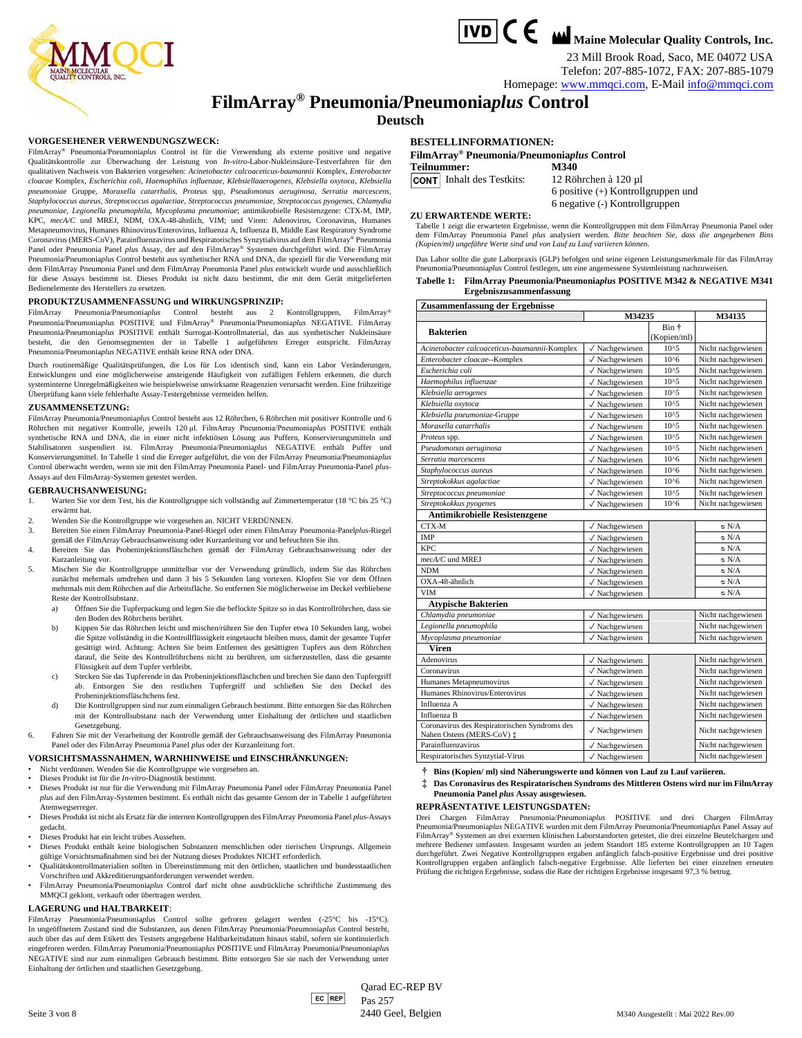

23 Mill Brook Road, Saco, ME 04072 USA Telefon: 207-885-1072, FAX: 207-885-1079

Homepage[: www.mmqci.com,](http://www.mmqci.com/) E-Mail [info@mmqci.com](mailto:info@mmqci.com)

### **FilmArray® Pneumonia/Pneumonia***plus* **Control**

**Deutsch**

#### **VORGESEHENER VERWENDUNGSZWECK:**

FilmArray® Pneumonia/Pneumonia*plus* Control ist für die Verwendung als externe positive und negative Qualitätskontrolle zur Überwachung der Leistung von *In-vitro*-Labor-Nukleinsäure-Testverfahren für den qualitativen Nachweis von Bakterien vorgesehen: *Acinetobacter calcoaceticus-baumannii* Komplex, *Enterobacter cloacae* Komplex, *Escherichia coli*, *Haemophilus influenzae, Klebsiellaaerogenes, Klebsiella oxytoca*, *Klebsiella pneumoniae* Gruppe, *Moraxella catarrhalis*, *Proteus* spp, *Pseudomonas aeruginosa*, *Serratia marcescens*, *Staphylococcus aureus*, *Streptococcus agalactiae*, *Streptococcus pneumoniae*, *Streptococcus pyogenes*, *Chlamydia pneumoniae*, *Legionella pneumophila*, *Mycoplasma pneumoniae*; antimikrobielle Resistenzgene: CTX-M, IMP, KPC, *mecA/C* und MREJ, NDM, OXA-48-ähnlich, VIM; und Viren: Adenovirus, Coronavirus, Humanes Metapneumovirus, Humanes Rhinovirus/Enterovirus, Influenza A, Influenza B, Middle East Respiratory Syndrome Coronavirus (MERS-CoV), Parainfluenzavirus und Respiratorisches Synzytialvirus auf dem FilmArray® Pneumonia Panel oder Pneumonia Panel *plus* Assay, der auf den FilmArray® Systemen durchgeführt wird. Die FilmArray Pneumonia/Pneumonia*plus* Control besteht aus synthetischer RNA und DNA, die speziell für die Verwendung mit dem FilmArray Pneumonia Panel und dem FilmArray Pneumonia Panel *plus* entwickelt wurde und ausschließlich für diese Assays bestimmt ist. Dieses Produkt ist nicht dazu bestimmt, die mit dem Gerät mitgelieferten Bedienelemente des Herstellers zu ersetzen.

#### **PRODUKTZUSAMMENFASSUNG und WIRKUNGSPRINZIP:**

FilmArray Pneumonia/Pneumonia*plus* Control besteht aus 2 Kontrollgruppen, FilmArray® Pneumonia/Pneumonia*plus* POSITIVE und FilmArray® Pneumonia/Pneumonia*plus* NEGATIVE. FilmArray Pneumonia/Pneumonia*plus* POSITIVE enthält Surrogat-Kontrollmaterial, das aus synthetischer Nukleinsäure besteht, die den Genomsegmenten der in Tabelle 1 aufgeführten Erreger entspricht. FilmArray Pneumonia/Pneumonia*plus* NEGATIVE enthält keine RNA oder DNA.

Durch routinemäßige Qualitätsprüfungen, die Los für Los identisch sind, kann ein Labor Veränderungen, Entwicklungen und eine möglicherweise ansteigende Häufigkeit von zufälligen Fehlern erkennen, die durch systeminterne Unregelmäßigkeiten wie beispielsweise unwirksame Reagenzien verursacht werden. Eine frühzeitige Überprüfung kann viele fehlerhafte Assay-Testergebnisse vermeiden helfen.

#### **ZUSAMMENSETZUNG:**

FilmArray Pneumonia/Pneumonia*plus* Control besteht aus 12 Röhrchen, 6 Röhrchen mit positiver Kontrolle und 6 Röhrchen mit negativer Kontrolle, jeweils 120 μl. FilmArray Pneumonia/Pneumonia*plus* POSITIVE enthält synthetische RNA und DNA, die in einer nicht infektiösen Lösung aus Puffern, Konservierungsmitteln und Stabilisatoren suspendiert ist. FilmArray Pneumonia/Pneumonia*plus* NEGATIVE enthält Puffer und Konservierungsmittel. In Tabelle 1 sind die Erreger aufgeführt, die von der FilmArray Pneumonia/Pneumonia*plus* Control überwacht werden, wenn sie mit den FilmArray Pneumonia Panel- und FilmArray Pneumonia-Panel *plus*-Assays auf den FilmArray-Systemen getestet werden.

#### **GEBRAUCHSANWEISUNG:**

- 1. Warten Sie vor dem Test, bis die Kontrollgruppe sich vollständig auf Zimmertemperatur (18 °C bis 25 °C) erwärmt hat.
- 2. Wenden Sie die Kontrollgruppe wie vorgesehen an. NICHT VERDÜNNEN.
- 3. Bereiten Sie einen FilmArray Pneumonia-Panel-Riegel oder einen FilmArray Pneumonia-Panel*plus*-Riegel
- gemäß der FilmArray Gebrauchsanweisung oder Kurzanleitung vor und befeuchten Sie ihn. 4. Bereiten Sie das Probeninjektionsfläschchen gemäß der FilmArray Gebrauchsanweisung oder der Kurzanleitung vor.
- 5. Mischen Sie die Kontrollgruppe unmittelbar vor der Verwendung gründlich, indem Sie das Röhrchen zunächst mehrmals umdrehen und dann 3 bis 5 Sekunden lang vortexen. Klopfen Sie vor dem Öffnen mehrmals mit dem Röhrchen auf die Arbeitsfläche. So entfernen Sie möglicherweise im Deckel verbliebene Reste der Kontrollsubstanz.
	- a) Öffnen Sie die Tupferpackung und legen Sie die beflockte Spitze so in das Kontrollröhrchen, dass sie den Boden des Röhrchens berührt.
	- b) Kippen Sie das Röhrchen leicht und mischen/rühren Sie den Tupfer etwa 10 Sekunden lang, wobei die Spitze vollständig in die Kontrollflüssigkeit eingetaucht bleiben muss, damit der gesamte Tupfer gesättigt wird. Achtung: Achten Sie beim Entfernen des gesättigten Tupfers aus dem Röhrchen darauf, die Seite des Kontrollröhrchens nicht zu berühren, um sicherzustellen, dass die gesamte Flüssigkeit auf dem Tupfer verbleibt.
	- c) Stecken Sie das Tupferende in das Probeninjektionsfläschchen und brechen Sie dann den Tupfergriff ab. Entsorgen Sie den restlichen Tupfergriff und schließen Sie den Deckel des Probeninjektionsfläschchens fest.
	- d) Die Kontrollgruppen sind nur zum einmaligen Gebrauch bestimmt. Bitte entsorgen Sie das Röhrchen mit der Kontrollsubstanz nach der Verwendung unter Einhaltung der örtlichen und staatlichen Gesetzgebung.
- 6. Fahren Sie mit der Verarbeitung der Kontrolle gemäß der Gebrauchsanweisung des FilmArray Pneumonia Panel oder des FilmArray Pneumonia Panel *plus* oder der Kurzanleitung fort.

#### **VORSICHTSMASSNAHMEN, WARNHINWEISE und EINSCHRÄNKUNGEN:**

- Nicht verdünnen. Wenden Sie die Kontrollgruppe wie vorgesehen an.
- Dieses Produkt ist für die *In-vitro*-Diagnostik bestimmt.
- Dieses Produkt ist nur für die Verwendung mit FilmArray Pneumonia Panel oder FilmArray Pneumonia Panel *plus* auf den FilmArray-Systemen bestimmt. Es enthält nicht das gesamte Genom der in Tabelle 1 aufgeführten Atemwegserreger.
- Dieses Produkt ist nicht als Ersatz für die internen Kontrollgruppen des FilmArray Pneumonia Panel *plus*-Assays gedacht.
- Dieses Produkt hat ein leicht trübes Aussehen.
- Dieses Produkt enthält keine biologischen Substanzen menschlichen oder tierischen Ursprungs. Allgemein gültige Vorsichtsmaßnahmen sind bei der Nutzung dieses Produktes NICHT erforderlich.
- Qualitätskontrollmaterialien sollten in Übereinstimmung mit den örtlichen, staatlichen und bundesstaatlichen Vorschriften und Akkreditierungsanforderungen verwendet werden.
- FilmArray Pneumonia/Pneumonia*plus* Control darf nicht ohne ausdrückliche schriftliche Zustimmung des MMQCI geklont, verkauft oder übertragen werden.

#### **LAGERUNG und HALTBARKEIT**:

FilmArray Pneumonia/Pneumonia*plus* Control sollte gefroren gelagert werden (-25°C bis -15°C). In ungeöffnetem Zustand sind die Substanzen, aus denen FilmArray Pneumonia/Pneumonia*plus* Control besteht, auch über das auf dem Etikett des Testsets angegebene Haltbarkeitsdatum hinaus stabil, sofern sie kontinuierlich eingefroren werden. FilmArray Pneumonia/Pneumonia*plus* POSITIVE und FilmArray Pneumonia/Pneumonia*plus* NEGATIVE sind nur zum einmaligen Gebrauch bestimmt. Bitte entsorgen Sie sie nach der Verwendung unter Einhaltung der örtlichen und staatlichen Gesetzgebu

#### **BESTELLINFORMATIONEN:**

|                                  | FilmArray <sup>®</sup> Pneumonia/Pneumoniaplus Control |
|----------------------------------|--------------------------------------------------------|
| Teilnummer:                      | M340                                                   |
| <b>CONT</b> Inhalt des Testkits: | 12 Röhrchen à 120 µl                                   |
|                                  | 6 positive $(+)$ Kontrollgruppen und                   |

#### **ZU ERWARTENDE WERTE:**

Tabelle 1 zeigt die erwarteten Ergebnisse, wenn die Kontrollgruppen mit dem FilmArray Pneumonia Panel oder dem FilmArray Pneumonia Panel *plus* analysiert werden. *Bitte beachten Sie, dass die angegebenen Bins (Kopien/ml) ungefähre Werte sind und von Lauf zu Lauf variieren können.*

6 negative (-) Kontrollgruppen

Das Labor sollte die gute Laborpraxis (GLP) befolgen und seine eigenen Leistungsmerkmale für das FilmArray Pneumonia/Pneumonia*plus* Control festlegen, um eine angemessene Systemleistung nachzuweisen.

| Tabelle 1: FilmArray Pneumonia/Pneumoniaplus POSITIVE M342 & NEGATIVE M341 |
|----------------------------------------------------------------------------|
| Ergebniszusammenfassung                                                    |

| Zusammenfassung der Ergebnisse                                             |                           |                      |                    |  |  |  |  |
|----------------------------------------------------------------------------|---------------------------|----------------------|--------------------|--|--|--|--|
|                                                                            | M34235                    |                      | M34135             |  |  |  |  |
| <b>Bakterien</b>                                                           |                           | Bin +<br>(Kopien/ml) |                    |  |  |  |  |
| Acinetobacter calcoaceticus-baumannii-Komplex                              | √ Nachgewiesen            | $10^{4}5$            | Nicht nachgewiesen |  |  |  |  |
| Enterobacter cloacae--Komplex                                              | √ Nachgewiesen            | $10^{6}$             | Nicht nachgewiesen |  |  |  |  |
| Escherichia coli                                                           | √ Nachgewiesen            | $10^{5}$             | Nicht nachgewiesen |  |  |  |  |
| Haemophilus influenzae                                                     | $\sqrt{}$ Nachgewiesen    | $10^{4}5$            | Nicht nachgewiesen |  |  |  |  |
| Klebsiella aerogenes                                                       | $\sqrt{}$ Nachgewiesen    | $10^{5}$             | Nicht nachgewiesen |  |  |  |  |
| Klebsiella oxytoca                                                         | √ Nachgewiesen            | $10^{4}5$            | Nicht nachgewiesen |  |  |  |  |
| Klebsiella pneumoniae-Gruppe                                               | √ Nachgewiesen            | $10^{5}$             | Nicht nachgewiesen |  |  |  |  |
| Moraxella catarrhalis                                                      | $\sqrt{}$ Nachgewiesen    | $10^{5}$             | Nicht nachgewiesen |  |  |  |  |
| Proteus spp.                                                               | √ Nachgewiesen            | $10^{4}5$            | Nicht nachgewiesen |  |  |  |  |
| Pseudomonas aeruginosa                                                     | $\sqrt{}$ Nachgewiesen    | $10^{5}$             | Nicht nachgewiesen |  |  |  |  |
| Serratia marcescens                                                        | $\sqrt{}$ Nachgewiesen    | $10^{6}$             | Nicht nachgewiesen |  |  |  |  |
| Staphylococcus aureus                                                      | √ Nachgewiesen            | $10^{6}$             | Nicht nachgewiesen |  |  |  |  |
| Streptokokkus agalactiae                                                   | $\sqrt{}$ Nachgewiesen    | $10^{6}$             | Nicht nachgewiesen |  |  |  |  |
| Streptococcus pneumoniae                                                   | $\sqrt{}$ Nachgewiesen    | $10^{5}$             | Nicht nachgewiesen |  |  |  |  |
| Streptokokkus pyogenes                                                     | √ Nachgewiesen            | $10^{6}$             | Nicht nachgewiesen |  |  |  |  |
| Antimikrobielle Resistenzgene                                              |                           |                      |                    |  |  |  |  |
| CTX-M                                                                      | √ Nachgewiesen            |                      | $\circ$ N/A        |  |  |  |  |
| <b>IMP</b>                                                                 | √ Nachgewiesen            |                      | $\circ$ N/A        |  |  |  |  |
| <b>KPC</b>                                                                 | √ Nachgewiesen            |                      | $\circ$ N/A        |  |  |  |  |
| $mecA/C$ und MREJ                                                          | $\sqrt{}$ Nachgewiesen    |                      | $\circ$ N/A        |  |  |  |  |
| <b>NDM</b>                                                                 | $\sqrt{}$ Nachgewiesen    |                      | $\circ$ N/A        |  |  |  |  |
| OXA-48-ähnlich                                                             | $\sqrt{}$ Nachgewiesen    |                      | $\circ$ N/A        |  |  |  |  |
| <b>VIM</b>                                                                 | √ Nachgewiesen            |                      | $\circ$ N/A        |  |  |  |  |
| <b>Atypische Bakterien</b>                                                 |                           |                      |                    |  |  |  |  |
| Chlamydia pneumoniae                                                       | √ Nachgewiesen            |                      | Nicht nachgewiesen |  |  |  |  |
| Legionella pneumophila                                                     | √ Nachgewiesen            |                      | Nicht nachgewiesen |  |  |  |  |
| Mycoplasma pneumoniae                                                      | √ Nachgewiesen            |                      | Nicht nachgewiesen |  |  |  |  |
| <b>Viren</b>                                                               |                           |                      |                    |  |  |  |  |
| Adenovirus                                                                 | √ Nachgewiesen            |                      | Nicht nachgewiesen |  |  |  |  |
| Coronavirus                                                                | $\sqrt{}$ Nachgewiesen    |                      | Nicht nachgewiesen |  |  |  |  |
| Humanes Metapneumovirus                                                    | √ Nachgewiesen            |                      | Nicht nachgewiesen |  |  |  |  |
| Humanes Rhinovirus/Enterovirus                                             | √ Nachgewiesen            |                      | Nicht nachgewiesen |  |  |  |  |
| Influenza A                                                                | √ Nachgewiesen            |                      | Nicht nachgewiesen |  |  |  |  |
| Influenza B                                                                | $\checkmark$ Nachgewiesen |                      | Nicht nachgewiesen |  |  |  |  |
| Coronavirus des Respiratorischen Syndroms des<br>Nahen Ostens (MERS-CoV) ‡ | √ Nachgewiesen            |                      | Nicht nachgewiesen |  |  |  |  |
| Parainfluenzavirus                                                         | √ Nachgewiesen            |                      | Nicht nachgewiesen |  |  |  |  |
| Respiratorisches Synzytial-Virus                                           | √ Nachgewiesen            |                      | Nicht nachgewiesen |  |  |  |  |

- **† Bins (Kopien/ ml) sind Näherungswerte und können von Lauf zu Lauf variieren.**
- **‡ Das Coronavirus des Respiratorischen Syndroms des Mittleren Ostens wird nur im FilmArray Pneumonia Panel** *plus* **Assay ausgewiesen.**

#### **REPRÄSENTATIVE LEISTUNGSDATEN:**

Drei Chargen FilmArray Pneumonia/Pneumonia*plus* POSITIVE und drei Chargen FilmArray Pneumonia/Pneumonia*plus* NEGATIVE wurden mit dem FilmArray Pneumonia/Pneumonia*plus* Panel Assay auf FilmArray® Systemen an drei externen klinischen Laborstandorten getestet, die drei einzelne Beutelchargen und mehrere Bediener umfassten. Insgesamt wurden an jedem Standort 185 externe Kontrollgruppen an 10 Tagen durchgeführt. Zwei Negative Kontrollgruppen ergaben anfänglich falsch-positive Ergebnisse und drei positive Kontrollgruppen ergaben anfänglich falsch-negative Ergebnisse. Alle lieferten bei einer einzelnen erneuten Prüfung die richtigen Ergebnisse, sodass die Rate der richtigen Ergebnisse insgesamt 97,3 % betrug.

 $|EC|REF$ Qarad EC-REP BV Pas 257 Seite 3 von 8 2440 Seel, Belgien M340 Ausgestellt : Mai 2022 Rev.00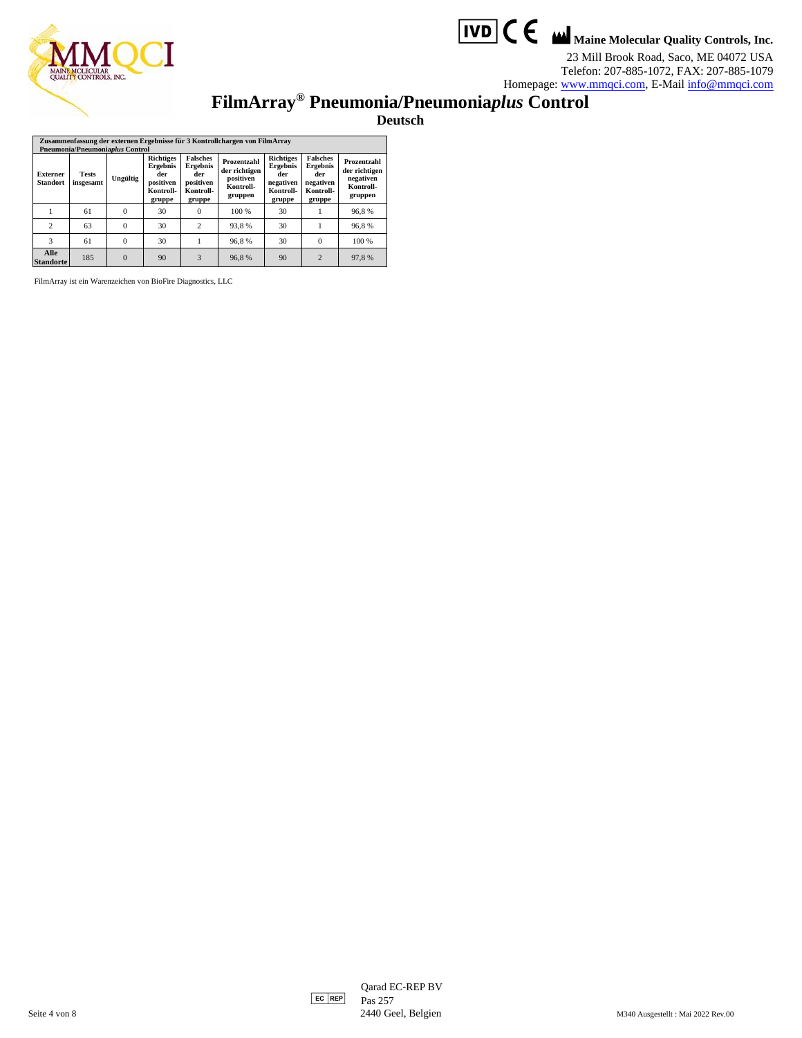



23 Mill Brook Road, Saco, ME 04072 USA Telefon: 207-885-1072, FAX: 207-885-1079 Homepage[: www.mmqci.com,](http://www.mmqci.com/) E-Mail [info@mmqci.com](mailto:info@mmqci.com)

**FilmArray® Pneumonia/Pneumonia***plus* **Control**

**Deutsch**

| Zusammenfassung der externen Ergebnisse für 3 Kontrollchargen von FilmArray<br>Pneumonia/Pneumoniaplus Control |                           |          |                                                                                |                                                                        |                                                                   |                                                                                |                                                                               |                                                                   |
|----------------------------------------------------------------------------------------------------------------|---------------------------|----------|--------------------------------------------------------------------------------|------------------------------------------------------------------------|-------------------------------------------------------------------|--------------------------------------------------------------------------------|-------------------------------------------------------------------------------|-------------------------------------------------------------------|
| <b>Externer</b><br><b>Standort</b>                                                                             | <b>Tests</b><br>insgesamt | Ungültig | <b>Richtiges</b><br><b>Ergebnis</b><br>der<br>positiven<br>Kontroll-<br>gruppe | <b>Falsches</b><br>Ergebnis<br>der<br>positiven<br>Kontroll-<br>gruppe | Prozentzahl<br>der richtigen<br>positiven<br>Kontroll-<br>gruppen | <b>Richtiges</b><br><b>Ergebnis</b><br>der<br>negativen<br>Kontroll-<br>gruppe | <b>Falsches</b><br><b>Ergebnis</b><br>der<br>negativen<br>Kontroll-<br>gruppe | Prozentzahl<br>der richtigen<br>negativen<br>Kontroll-<br>gruppen |
|                                                                                                                | 61                        | $\Omega$ | 30                                                                             | 0                                                                      | 100 %                                                             | 30                                                                             |                                                                               | 96.8%                                                             |
| $\overline{c}$                                                                                                 | 63                        | $\Omega$ | 30                                                                             | $\overline{c}$                                                         | 93,8%                                                             | 30                                                                             |                                                                               | 96,8%                                                             |
| 3                                                                                                              | 61                        | $\Omega$ | 30                                                                             |                                                                        | 96,8%                                                             | 30                                                                             | $\Omega$                                                                      | 100 %                                                             |
| Alle<br><b>Standorte</b>                                                                                       | 185                       | $\Omega$ | 90                                                                             | 3                                                                      | 96.8%                                                             | 90                                                                             | $\overline{2}$                                                                | 97.8%                                                             |

FilmArray ist ein Warenzeichen von BioFire Diagnostics, LLC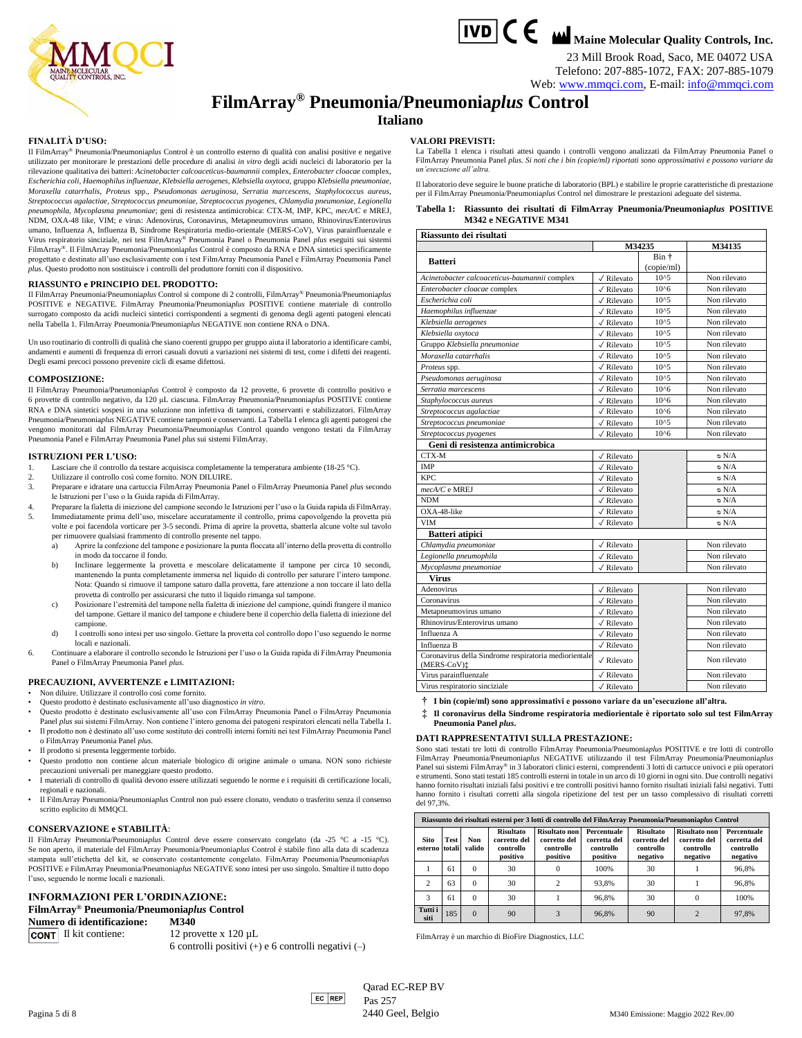



23 Mill Brook Road, Saco, ME 04072 USA Telefono: 207-885-1072, FAX: 207-885-1079

Web[: www.mmqci.com,](http://www.mmqci.com/) E-mail: [info@mmqci.com](mailto:info@mmqci.com)

## **FilmArray® Pneumonia/Pneumonia***plus* **Control**

#### **Italiano**

**VALORI PREVISTI:**

*un'esecuzione all'altra.*

#### **FINALITÀ D'USO:**

Il FilmArray® Pneumonia/Pneumonia*plus* Control è un controllo esterno di qualità con analisi positive e negative utilizzato per monitorare le prestazioni delle procedure di analisi *in vitro* degli acidi nucleici di laboratorio per la rilevazione qualitativa dei batteri: *Acinetobacter calcoaceticus-baumannii* complex, *Enterobacter cloacae* complex, *Escherichia coli*, *Haemophilus influenzae, Klebsiella aerogenes, Klebsiella oxytoca*, gruppo *Klebsiella pneumoniae*, *Moraxella catarrhalis*, *Proteus* spp., *Pseudomonas aeruginosa*, *Serratia marcescens*, *Staphylococcus aureus*, *Streptococcus agalactiae*, *Streptococcus pneumoniae*, *Streptococcus pyogenes*, *Chlamydia pneumoniae*, *Legionella pneumophila*, *Mycoplasma pneumoniae*; geni di resistenza antimicrobica: CTX-M, IMP, KPC, *mecA/C* e MREJ, NDM, OXA-48 like, VIM; e virus: Adenovirus, Coronavirus, Metapneumovirus umano, Rhinovirus/Enterovirus umano, Influenza A, Influenza B, Sindrome Respiratoria medio-orientale (MERS-CoV), Virus parainfluenzale e<br>Virus respiratorio sinciziale, nei test FilmArray® Pneumonia Panel o Pneumonia Panel *plus* eseguiti sui sistemi FilmArray®. Il FilmArray Pneumonia/Pneumonia*plus* Control è composto da RNA e DNA sintetici specificamente progettato e destinato all'uso esclusivamente con i test FilmArray Pneumonia Panel e FilmArray Pneumonia Panel *plus*. Questo prodotto non sostituisce i controlli del produttore forniti con il dispositivo.

#### **RIASSUNTO e PRINCIPIO DEL PRODOTTO:**

Il FilmArray Pneumonia/Pneumonia*plus* Control si compone di 2 controlli, FilmArray® Pneumonia/Pneumonia*plus* POSITIVE e NEGATIVE. FilmArray Pneumonia/Pneumonia*plus* POSITIVE contiene materiale di controllo surrogato composto da acidi nucleici sintetici corrispondenti a segmenti di genoma degli agenti patogeni elencati nella Tabella 1. FilmArray Pneumonia/Pneumonia*plus* NEGATIVE non contiene RNA o DNA.

Un uso routinario di controlli di qualità che siano coerenti gruppo per gruppo aiuta il laboratorio a identificare cambi, andamenti e aumenti di frequenza di errori casuali dovuti a variazioni nei sistemi di test, come i difetti dei reagenti. Degli esami precoci possono prevenire cicli di esame difettosi.

#### **COMPOSIZIONE:**

Il FilmArray Pneumonia/Pneumonia*plus* Control è composto da 12 provette, 6 provette di controllo positivo e 6 provette di controllo negativo, da 120 μL ciascuna. FilmArray Pneumonia/Pneumonia*plus* POSITIVE contiene RNA e DNA sintetici sospesi in una soluzione non infettiva di tamponi, conservanti e stabilizzatori. FilmArray Pneumonia/Pneumonia*plus* NEGATIVE contiene tamponi e conservanti. La Tabella 1 elenca gli agenti patogeni che vengono monitorati dal FilmArray Pneumonia/Pneumonia*plus* Control quando vengono testati da FilmArray Pneumonia Panel e FilmArray Pneumonia Panel *plus* sui sistemi FilmArray.

#### **ISTRUZIONI PER L'USO:**

- Lasciare che il controllo da testare acquisisca completamente la temperatura ambiente (18-25 °C).
- 2. Utilizzare il controllo così come fornito. NON DILUIRE.
- 3. Preparare e idratare una cartuccia FilmArray Pneumonia Panel o FilmArray Pneumonia Panel *plus* secondo le Istruzioni per l'uso o la Guida rapida di FilmArray.
- 4. Preparare la fialetta di iniezione del campione secondo le Istruzioni per l'uso o la Guida rapida di FilmArray. 5. Immediatamente prima dell'uso, miscelare accuratamente il controllo, prima capovolgendo la provetta più volte e poi facendola vorticare per 3-5 secondi. Prima di aprire la provetta, sbatterla alcune volte sul tavolo per rimuovere qualsiasi frammento di controllo presente nel tappo.
	- a) Aprire la confezione del tampone e posizionare la punta floccata all'interno della provetta di controllo in modo da toccarne il fondo.
	- b) Inclinare leggermente la provetta e mescolare delicatamente il tampone per circa 10 secondi, mantenendo la punta completamente immersa nel liquido di controllo per saturare l'intero tampone. Nota: Quando si rimuove il tampone saturo dalla provetta, fare attenzione a non toccare il lato della provetta di controllo per assicurarsi che tutto il liquido rimanga sul tampone.
	- c) Posizionare l'estremità del tampone nella fialetta di iniezione del campione, quindi frangere il manico del tampone. Gettare il manico del tampone e chiudere bene il coperchio della fialetta di iniezione del campione.
	- d) I controlli sono intesi per uso singolo. Gettare la provetta col controllo dopo l'uso seguendo le norme locali e nazionali.
- 6. Continuare a elaborare il controllo secondo le Istruzioni per l'uso o la Guida rapida di FilmArray Pneumonia Panel o FilmArray Pneumonia Panel *plus*.

#### **PRECAUZIONI, AVVERTENZE e LIMITAZIONI:**

- Non diluire. Utilizzare il controllo così come fornito.
- Questo prodotto è destinato esclusivamente all'uso diagnostico *in vitro*.
- Questo prodotto è destinato esclusivamente all'uso con FilmArray Pneumonia Panel o FilmArray Pneumonia Panel *plus* sui sistemi FilmArray. Non contiene l'intero genoma dei patogeni respiratori elencati nella Tabella 1. • Il prodotto non è destinato all'uso come sostituto dei controlli interni forniti nei test FilmArray Pneumonia Panel
- o FilmArray Pneumonia Panel *plus*.
- Il prodotto si presenta leggermente torbido.
- Questo prodotto non contiene alcun materiale biologico di origine animale o umana. NON sono richieste precauzioni universali per maneggiare questo prodotto.
- I materiali di controllo di qualità devono essere utilizzati seguendo le norme e i requisiti di certificazione locali, regionali e nazionali.
- Il FilmArray Pneumonia/Pneumonia*plus* Control non può essere clonato, venduto o trasferito senza il consenso scritto esplicito di MMQCI.

#### **CONSERVAZIONE e STABILITÀ**:

Il FilmArray Pneumonia/Pneumonia*plus* Control deve essere conservato congelato (da -25 °C a -15 °C). Se non aperto, il materiale del FilmArray Pneumonia/Pneumonia*plus* Control è stabile fino alla data di scadenza stampata sull'etichetta del kit, se conservato costantemente congelato. FilmArray Pneumonia/Pneumonia*plus* POSITIVE e FilmArray Pneumonia/Pneumonia*plus* NEGATIVE sono intesi per uso singolo. Smaltire il tutto dopo l'uso, seguendo le norme locali e nazionali.

#### **INFORMAZIONI PER L'ORDINAZIONE:**

**FilmArray® Pneumonia/Pneumonia***plus* **Control Numero di identificazione: M340**

**CONT** Il kit contiene:  $12$  provette x  $120 \mu L$ 

6 controlli positivi (+) e 6 controlli negativi (–)

**Sito esterno Test totali Non valido Risultato corretto del controllo positivo Risultato non corretto del controllo positivo Percentuale corretta del controllo positivo Risultato corretto del controllo negativo Risultato non corretto del controllo negativo Percentuale corretta del controllo negativo** 1 61 0 30 0 100% 30 1 96,8% 2 63 0 30 2 93,8% 30 1 96,8% 3 61 0 30 1 96,8% 30 0 100% **Tutti i siti**  $\begin{array}{ccc|c} 185 & 0 & 90 \\ 0 & 90 & 3 \\ 0 & 0 & 3 \end{array}$  96,8% 90 2 97,8%

FilmArray è un marchio di BioFire Diagnostics, LLC

 $\text{Qarad EC-REF BV}$ <br>ECREP  $\text{P}_{\text{QSC}}$  257 Pas 257 Pagina 5 di 8 2440 Geel, Belgio 2022 Rev.00 2440 Geel, Belgio 2022 Rev.00 2440 Geel, Belgio 2022 Rev.00

#### **Tabella 1: Riassunto dei risultati di FilmArray Pneumonia/Pneumonia***plus* **POSITIVE M342 e NEGATIVE M341 Riassunto dei risultati M34235 M34135 Batteri** Bin † (copie/ml) *Acinetobacter calcoaceticus-baumannii* complex ✓ Rilevato 10^5 Non rilevato

La Tabella 1 elenca i risultati attesi quando i controlli vengono analizzati da FilmArray Pneumonia Panel o FilmArray Pneumonia Panel *plus*. *Si noti che i bin (copie/ml) riportati sono approssimativi e possono variare da* 

Il laboratorio deve seguire le buone pratiche di laboratorio (BPL) e stabilire le proprie caratteristiche di prestazione<br>per il FilmArray Pneumonia/Pneumoniaplus Control nel dimostrare le prestazioni adeeuate del sistema.

per il Filmarra Portugale aneumonia prestazioni adeguate del sistema.

| Acinetobacter calcoaceticus-baumannii complex                        | √ Rilevato               | $10^{5}$ | Non rilevato |
|----------------------------------------------------------------------|--------------------------|----------|--------------|
| Enterobacter cloacae complex                                         | √ Rilevato               | $10^{6}$ | Non rilevato |
| Escherichia coli                                                     | √ Rilevato               | $10^{5}$ | Non rilevato |
| Haemophilus influenzae                                               | √ Rilevato               | $10^{5}$ | Non rilevato |
| Klebsiella aerogenes                                                 | √ Rilevato               | $10^{5}$ | Non rilevato |
| Klebsiella oxytoca                                                   | √ Rilevato               | $10^{5}$ | Non rilevato |
| Gruppo Klebsiella pneumoniae                                         | √ Rilevato               | $10^{5}$ | Non rilevato |
| Moraxella catarrhalis                                                | √ Rilevato               | $10^{5}$ | Non rilevato |
| Proteus spp.                                                         | √ Rilevato               | $10^{5}$ | Non rilevato |
| Pseudomonas aeruginosa                                               | √ Rilevato               | $10^{5}$ | Non rilevato |
| Serratia marcescens                                                  | √ Rilevato               | $10^{6}$ | Non rilevato |
| Staphylococcus aureus                                                | √ Rilevato               | $10^{6}$ | Non rilevato |
| Streptococcus agalactiae                                             | √ Rilevato               | $10^{6}$ | Non rilevato |
| Streptococcus pneumoniae                                             | √ Rilevato               | $10^{5}$ | Non rilevato |
| Streptococcus pyogenes                                               | √ Rilevato               | $10^{6}$ | Non rilevato |
| Geni di resistenza antimicrobica                                     |                          |          |              |
| CTX-M                                                                | √ Rilevato               |          | $\circ$ N/A  |
| <b>IMP</b>                                                           | √ Rilevato               |          | $\circ$ N/A  |
| <b>KPC</b>                                                           | √ Rilevato               |          | $\circ$ N/A  |
| mecA/C e MREJ                                                        | $\sqrt{\text{Rilevato}}$ |          | o N/A        |
| <b>NDM</b>                                                           | √ Rilevato               |          | $\circ$ N/A  |
| OXA-48-like                                                          | √ Rilevato               |          | $\circ$ N/A  |
| <b>VIM</b>                                                           | √ Rilevato               |          | o N/A        |
| Batteri atipici                                                      |                          |          |              |
| Chlamydia pneumoniae                                                 | √ Rilevato               |          | Non rilevato |
| Legionella pneumophila                                               | √ Rilevato               |          | Non rilevato |
| Mycoplasma pneumoniae                                                | √ Rilevato               |          | Non rilevato |
| Virus                                                                |                          |          |              |
| Adenovirus                                                           | √ Rilevato               |          | Non rilevato |
| Coronavirus                                                          | √ Rilevato               |          | Non rilevato |
| Metapneumovirus umano                                                | √ Rilevato               |          | Non rilevato |
| Rhinovirus/Enterovirus umano                                         | √ Rilevato               |          | Non rilevato |
| Influenza A                                                          | $\sqrt{\text{Rilevato}}$ |          | Non rilevato |
| Influenza B                                                          | $\sqrt{\text{Rilevato}}$ |          | Non rilevato |
| Coronavirus della Sindrome respiratoria mediorientale<br>(MERS-CoV): | $\sqrt{\text{Rilevato}}$ |          | Non rilevato |
| Virus parainfluenzale                                                | √ Rilevato               |          | Non rilevato |
| Virus respiratorio sinciziale                                        | $\sqrt{R}$ ilevato       |          | Non rilevato |

**† I bin (copie/ml) sono approssimativi e possono variare da un'esecuzione all'altra.**

**‡ Il coronavirus della Sindrome respiratoria mediorientale è riportato solo sul test FilmArray Pneumonia Panel** *plus***.**

#### **DATI RAPPRESENTATIVI SULLA PRESTAZIONE:**

Sono stati testati tre lotti di controllo FilmArray Pneumonia/Pneumonia*plus* POSITIVE e tre lotti di controllo FilmArray Pneumonia/Pneumonia*plus* NEGATIVE utilizzando il test FilmArray Pneumonia/Pneumonia*plus* Panel sui sistemi FilmArray® in 3 laboratori clinici esterni, comprendenti 3 lotti di cartucce univoci e più operatori e strumenti. Sono stati testati 185 controlli esterni in totale in un arco di 10 giorni in ogni sito. Due controlli negativi hanno fornito risultati iniziali falsi positivi e tre controlli positivi hanno fornito risultati iniziali falsi negativi. Tutti hanno fornito i risultati corretti alla singola ripetizione del test per un tasso complessivo di risultati corretti del 97,3%.

**Riassunto dei risultati esterni per 3 lotti di controllo del FilmArray Pneumonia/Pneumonia***plus* **Control**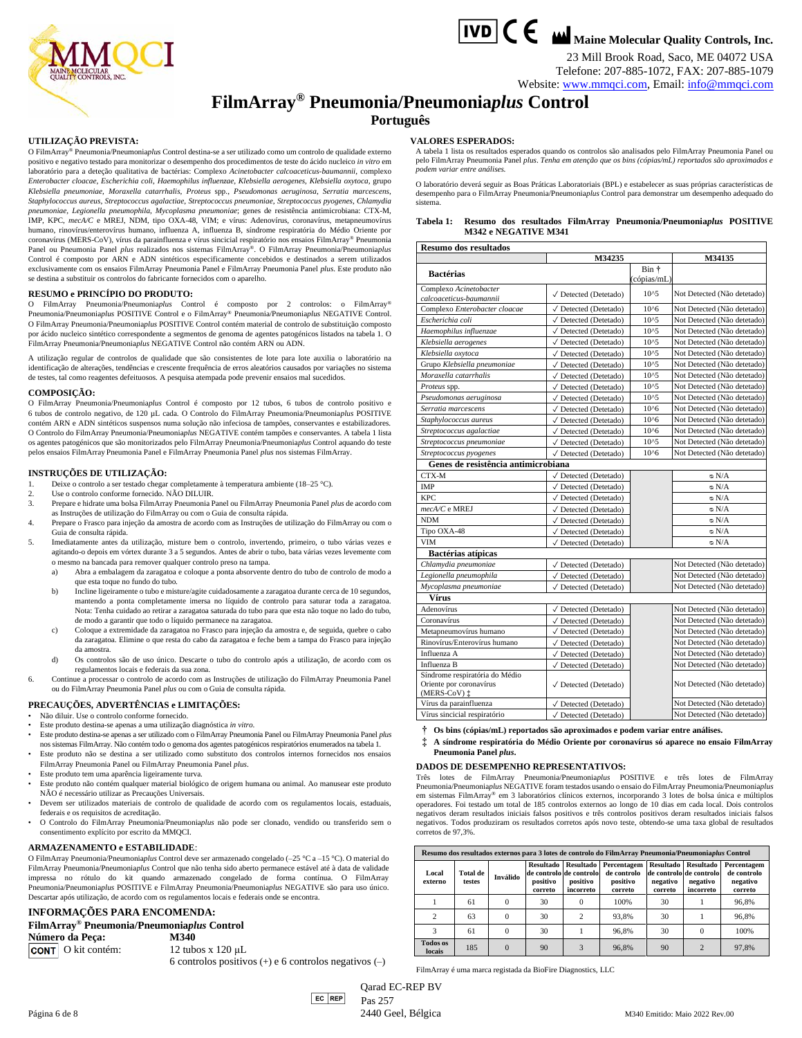

23 Mill Brook Road, Saco, ME 04072 USA Telefone: 207-885-1072, FAX: 207-885-1079 Website[: www.mmqci.com,](http://www.mmqci.com/) Email: [info@mmqci.com](mailto:info@mmqci.com)

## **FilmArray® Pneumonia/Pneumonia***plus* **Control**

### **Português**

#### **UTILIZAÇÃO PREVISTA:**

O FilmArray® Pneumonia/Pneumonia*plus* Control destina-se a ser utilizado como um controlo de qualidade externo positivo e negativo testado para monitorizar o desempenho dos procedimentos de teste do ácido nucleico *in vitro* em laboratório para a deteção qualitativa de bactérias: Complexo *Acinetobacter calcoaceticus-baumannii*, complexo *Enterobacter cloacae*, *Escherichia coli*, *Haemophilus influenzae, Klebsiella aerogenes, Klebsiella oxytoca*, grupo *Klebsiella pneumoniae*, *Moraxella catarrhalis*, *Proteus* spp., *Pseudomonas aeruginosa*, *Serratia marcescens*, *Staphylococcus aureus*, *Streptococcus agalactiae*, *Streptococcus pneumoniae*, *Streptococcus pyogenes*, *Chlamydia pneumoniae*, *Legionella pneumophila*, *Mycoplasma pneumoniae*; genes de resistência antimicrobiana: CTX-M, IMP, KPC, *mecA/C* e MREJ, NDM, tipo OXA-48, VIM; e vírus: Adenovírus, coronavírus, metapneumovírus humano, rinovírus/enterovírus humano, influenza A, influenza B, síndrome respiratória do Médio Oriente por coronavírus (MERS-CoV), vírus da parainfluenza e vírus sincicial respiratório nos ensaios FilmArray® Pneumonia Panel ou Pneumonia Panel *plus* realizados nos sistemas FilmArray®. O FilmArray Pneumonia/Pneumonia*plus*  Control é composto por ARN e ADN sintéticos especificamente concebidos e destinados a serem utilizados exclusivamente com os ensaios FilmArray Pneumonia Panel e FilmArray Pneumonia Panel *plus*. Este produto não se destina a substituir os controlos do fabricante fornecidos com o aparelho.

#### **RESUMO e PRINCÍPIO DO PRODUTO:**

O FilmArray Pneumonia/Pneumonia*plus* Control é composto por 2 controlos: o FilmArray® Pneumonia/Pneumonia*plus* POSITIVE Control e o FilmArray® Pneumonia/Pneumonia*plus* NEGATIVE Control. O FilmArray Pneumonia/Pneumonia*plus* POSITIVE Control contém material de controlo de substituição composto por ácido nucleico sintético correspondente a segmentos de genoma de agentes patogénicos listados na tabela 1. O FilmArray Pneumonia/Pneumonia*plus* NEGATIVE Control não contém ARN ou ADN.

A utilização regular de controlos de qualidade que são consistentes de lote para lote auxilia o laboratório na identificação de alterações, tendências e crescente frequência de erros aleatórios causados por variações no sistema de testes, tal como reagentes defeituosos. A pesquisa atempada pode prevenir ensaios mal sucedidos.

#### **COMPOSIÇÃO:**

O FilmArray Pneumonia/Pneumonia*plus* Control é composto por 12 tubos, 6 tubos de controlo positivo e 6 tubos de controlo negativo, de 120 µL cada. O Controlo do FilmArray Pneumonia/Pneumonia*plus* POSITIVE contém ARN e ADN sintéticos suspensos numa solução não infeciosa de tampões, conservantes e estabilizadores. O Controlo do FilmArray Pneumonia/Pneumonia*plus* NEGATIVE contém tampões e conservantes. A tabela 1 lista os agentes patogénicos que são monitorizados pelo FilmArray Pneumonia/Pneumonia*plus* Control aquando do teste pelos ensaios FilmArray Pneumonia Panel e FilmArray Pneumonia Panel *plus* nos sistemas FilmArray.

#### **INSTRUÇÕES DE UTILIZAÇÃO:**

- 1. Deixe o controlo a ser testado chegar completamente à temperatura ambiente (18–25 °C).
- Use o controlo conforme fornecido. NÃO DILUIR.
- 3. Prepare e hidrate uma bolsa FilmArray Pneumonia Panel ou FilmArray Pneumonia Panel *plus* de acordo com as Instruções de utilização do FilmArray ou com o Guia de consulta rápida.
- 4. Prepare o Frasco para injeção da amostra de acordo com as Instruções de utilização do FilmArray ou com o Guia de consulta rápida.
- 5. Imediatamente antes da utilização, misture bem o controlo, invertendo, primeiro, o tubo várias vezes e agitando-o depois em vórtex durante 3 a 5 segundos. Antes de abrir o tubo, bata várias vezes levemente com o mesmo na bancada para remover qualquer controlo preso na tampa.
	- a) Abra a embalagem da zaragatoa e coloque a ponta absorvente dentro do tubo de controlo de modo a que esta toque no fundo do tubo.
	- b) Incline ligeiramente o tubo e misture/agite cuidadosamente a zaragatoa durante cerca de 10 segundos, mantendo a ponta completamente imersa no líquido de controlo para saturar toda a zaragatoa. Nota: Tenha cuidado ao retirar a zaragatoa saturada do tubo para que esta não toque no lado do tubo, de modo a garantir que todo o líquido permanece na zaragatoa.
	- c) Coloque a extremidade da zaragatoa no Frasco para injeção da amostra e, de seguida, quebre o cabo da zaragatoa. Elimine o que resta do cabo da zaragatoa e feche bem a tampa do Frasco para injeção da amostra.
	- d) Os controlos são de uso único. Descarte o tubo do controlo após a utilização, de acordo com os regulamentos locais e federais da sua zona.
- 6. Continue a processar o controlo de acordo com as Instruções de utilização do FilmArray Pneumonia Panel ou do FilmArray Pneumonia Panel *plus* ou com o Guia de consulta rápida.
- **PRECAUÇÕES, ADVERTÊNCIAS e LIMITAÇÕES:**
- Não diluir. Use o controlo conforme fornecido.
- Este produto destina-se apenas a uma utilização diagnóstica *in vitro*. • Este produto destina-se apenas a ser utilizado com o FilmArray Pneumonia Panel ou FilmArray Pneumonia Panel *plus*
- nos sistemas FilmArray. Não contém todo o genoma dos agentes patogénicos respiratórios enumerados na tabela 1. • Este produto não se destina a ser utilizado como substituto dos controlos internos fornecidos nos ensaios
- FilmArray Pneumonia Panel ou FilmArray Pneumonia Panel *plus*.
- Este produto tem uma aparência ligeiramente turva.
- Este produto não contém qualquer material biológico de origem humana ou animal. Ao manusear este produto NÃO é necessário utilizar as Precauções Universais.
- Devem ser utilizados materiais de controlo de qualidade de acordo com os regulamentos locais, estaduais, federais e os requisitos de acreditação.
- O Controlo do FilmArray Pneumonia/Pneumonia*plus* não pode ser clonado, vendido ou transferido sem o consentimento explícito por escrito da MMQCI.

#### **ARMAZENAMENTO e ESTABILIDADE**:

O FilmArray Pneumonia/Pneumonia*plus* Control deve ser armazenado congelado (–25 °C a –15 °C). O material do FilmArray Pneumonia/Pneumonia*plus* Control que não tenha sido aberto permanece estável até à data de validade impressa no rótulo do kit quando armazenado congelado de forma contínua. O FilmArray Pneumonia/Pneumonia*plus* POSITIVE e FilmArray Pneumonia/Pneumonia*plus* NEGATIVE são para uso único. Descartar após utilização, de acordo com os regulamentos locais e federais onde se encontra.

### **INFORMAÇÕES PARA ENCOMENDA: FilmArray® Pneumonia/Pneumonia***plus* **Control**

**Número da Peça: M340**<br>**CONT** O kit contém: 12 tubos x 120 uL

6 controlos positivos (+) e 6 controlos negativos (–)

#### **VALORES ESPERADOS:**

A tabela 1 lista os resultados esperados quando os controlos são analisados pelo FilmArray Pneumonia Panel ou pelo FilmArray Pneumonia Panel *plus*. *Tenha em atenção que os bins (cópias/mL) reportados são aproximados e podem variar entre análises.*

O laboratório deverá seguir as Boas Práticas Laboratoriais (BPL) e estabelecer as suas próprias características de desempenho para o FilmArray Pneumonia/Pneumonia*plus* Control para demonstrar um desempenho adequado do sistema.

|  |                             | Tabela 1: Resumo dos resultados FilmArray Pneumonia/Pneumoniaplus POSITIVE |  |
|--|-----------------------------|----------------------------------------------------------------------------|--|
|  | <b>M342 e NEGATIVE M341</b> |                                                                            |  |

| <b>Resumo dos resultados</b>                      |                                          |                      |                             |  |  |  |  |
|---------------------------------------------------|------------------------------------------|----------------------|-----------------------------|--|--|--|--|
|                                                   | M34235                                   |                      | M34135                      |  |  |  |  |
| <b>Bactérias</b>                                  |                                          | Bin †<br>(cópias/mL) |                             |  |  |  |  |
| Complexo Acinetobacter<br>calcoaceticus-baumannii | √ Detected (Detetado)                    | $10^{5}$             | Not Detected (Não detetado) |  |  |  |  |
| Complexo Enterobacter cloacae                     | √ Detected (Detetado)                    | $10^{6}$             | Not Detected (Não detetado) |  |  |  |  |
| Escherichia coli                                  | √ Detected (Detetado)                    | $10^{5}$             | Not Detected (Não detetado) |  |  |  |  |
| Haemophilus influenzae                            | √ Detected (Detetado)                    | $10^{5}$             | Not Detected (Não detetado) |  |  |  |  |
| Klebsiella aerogenes                              | √ Detected (Detetado)                    | $10^{5}$             | Not Detected (Não detetado) |  |  |  |  |
| Klebsiella oxytoca                                | √ Detected (Detetado)                    | $10^{5}$             | Not Detected (Não detetado) |  |  |  |  |
| Grupo Klebsiella pneumoniae                       | √ Detected (Detetado)                    | $10^{45}$            | Not Detected (Não detetado) |  |  |  |  |
| Moraxella catarrhalis                             | √ Detected (Detetado)                    | $10^{4}5$            | Not Detected (Não detetado) |  |  |  |  |
| Proteus spp.                                      | √ Detected (Detetado)                    | $10^{5}$             | Not Detected (Não detetado) |  |  |  |  |
| Pseudomonas aeruginosa                            | √ Detected (Detetado)                    | $10^{5}$             | Not Detected (Não detetado) |  |  |  |  |
| Serratia marcescens                               | √ Detected (Detetado)                    | $10^{6}$             | Not Detected (Não detetado) |  |  |  |  |
| Staphylococcus aureus                             | √ Detected (Detetado)                    | $10^{6}$             | Not Detected (Não detetado) |  |  |  |  |
| Streptococcus agalactiae                          | √ Detected (Detetado)                    | $10^{6}$             | Not Detected (Não detetado) |  |  |  |  |
| Streptococcus pneumoniae                          | √ Detected (Detetado)                    | $10^{5}$             | Not Detected (Não detetado) |  |  |  |  |
| Streptococcus pyogenes                            | √ Detected (Detetado)                    | $10^{6}$             | Not Detected (Não detetado) |  |  |  |  |
| Genes de resistência antimicrobiana               |                                          |                      |                             |  |  |  |  |
| CTX-M                                             | √ Detected (Detetado)                    |                      | N/A ه                       |  |  |  |  |
| IMP                                               | √ Detected (Detetado)                    |                      | $\circ$ N/A                 |  |  |  |  |
| KPC.                                              | √ Detected (Detetado)                    |                      | $\circ$ N/A                 |  |  |  |  |
| mecA/C e MREJ                                     | √ Detected (Detetado)                    |                      | $\circ$ N/A                 |  |  |  |  |
| <b>NDM</b>                                        | √ Detected (Detetado)                    |                      | $\circ$ N/A                 |  |  |  |  |
| Tipo OXA-48                                       | √ Detected (Detetado)                    |                      | $\circ$ N/A                 |  |  |  |  |
| <b>VIM</b>                                        | √ Detected (Detetado)                    |                      | $\circ$ N/A                 |  |  |  |  |
| Bactérias atípicas                                |                                          |                      |                             |  |  |  |  |
| Chlamydia pneumoniae                              | √ Detected (Detetado)                    |                      | Not Detected (Não detetado) |  |  |  |  |
| Legionella pneumophila                            | √ Detected (Detetado)                    |                      | Not Detected (Não detetado) |  |  |  |  |
| Mycoplasma pneumoniae                             | √ Detected (Detetado)                    |                      | Not Detected (Não detetado) |  |  |  |  |
| Vírus                                             |                                          |                      |                             |  |  |  |  |
| Adenovírus                                        | √ Detected (Detetado)                    |                      | Not Detected (Não detetado) |  |  |  |  |
| Coronavírus                                       | √ Detected (Detetado)                    |                      | Not Detected (Não detetado) |  |  |  |  |
| Metapneumovírus humano                            | √ Detected (Detetado)                    |                      | Not Detected (Não detetado) |  |  |  |  |
| Rinovírus/Enterovírus humano                      | √ Detected (Detetado)                    |                      | Not Detected (Não detetado) |  |  |  |  |
| Influenza A                                       | √ Detected (Detetado)                    |                      | Not Detected (Não detetado) |  |  |  |  |
| Influenza B                                       | √ Detected (Detetado)                    |                      | Not Detected (Não detetado) |  |  |  |  |
| Síndrome respiratória do Médio                    |                                          |                      |                             |  |  |  |  |
| Oriente por coronavírus<br>$(MERS-CoV)$ :         | $\sqrt{\phantom{a}}$ Detected (Detetado) |                      | Not Detected (Não detetado) |  |  |  |  |
| Vírus da parainfluenza                            | √ Detected (Detetado)                    |                      | Not Detected (Não detetado) |  |  |  |  |
| Vírus sincicial respiratório                      | √ Detected (Detetado)                    |                      | Not Detected (Não detetado) |  |  |  |  |

**† Os bins (cópias/mL) reportados são aproximados e podem variar entre análises.**

**‡ A síndrome respiratória do Médio Oriente por coronavírus só aparece no ensaio FilmArray Pneumonia Panel** *plus***.**

#### **DADOS DE DESEMPENHO REPRESENTATIVOS:**

Três lotes de FilmArray Pneumonia/Pneumonia*plus* POSITIVE e três lotes de FilmArray Pneumonia/Pneumonia*plus* NEGATIVE foram testados usando o ensaio do FilmArray Pneumonia/Pneumonia*plus* em sistemas FilmArray® em 3 laboratórios clínicos externos, incorporando 3 lotes de bolsa única e múltiplos operadores. Foi testado um total de 185 controlos externos ao longo de 10 dias em cada local. Dois controlos negativos deram resultados iniciais falsos positivos e três controlos positivos deram resultados iniciais falsos negativos. Todos produziram os resultados corretos após novo teste, obtendo-se uma taxa global de resultados corretos de 97.3%

| Resumo dos resultados externos para 3 lotes de controlo do FilmArray Pneumonia/Pneumoniaplus Control |                           |          |                                         |                                                                      |                                                   |                                         |                                                                      |                                                   |  |
|------------------------------------------------------------------------------------------------------|---------------------------|----------|-----------------------------------------|----------------------------------------------------------------------|---------------------------------------------------|-----------------------------------------|----------------------------------------------------------------------|---------------------------------------------------|--|
| Local<br>externo                                                                                     | <b>Total de</b><br>testes | Inválido | <b>Resultado</b><br>positivo<br>correto | <b>Resultado</b><br>de controlo de controlo<br>positivo<br>incorreto | Percentagem<br>de controlo<br>positivo<br>correto | <b>Resultado</b><br>negativo<br>correto | <b>Resultado</b><br>de controlo de controlo<br>negativo<br>incorreto | Percentagem<br>de controlo<br>negativo<br>correto |  |
|                                                                                                      | 61                        | $\Omega$ | 30                                      | 0                                                                    | 100%                                              | 30                                      |                                                                      | 96.8%                                             |  |
| 2                                                                                                    | 63                        | $\Omega$ | 30                                      | 2                                                                    | 93.8%                                             | 30                                      |                                                                      | 96.8%                                             |  |
| 3                                                                                                    | 61                        | $\Omega$ | 30                                      |                                                                      | 96.8%                                             | 30                                      | 0                                                                    | 100%                                              |  |
| <b>Todos</b> os<br>locais                                                                            | 185                       | $\Omega$ | 90                                      | 3                                                                    | 96.8%                                             | 90                                      | $\overline{2}$                                                       | 97.8%                                             |  |

FilmArray é uma marca registada da BioFire Diagnostics, LLC

EC REP Qarad EC-REP BV Pas 257

CONT O kit contém: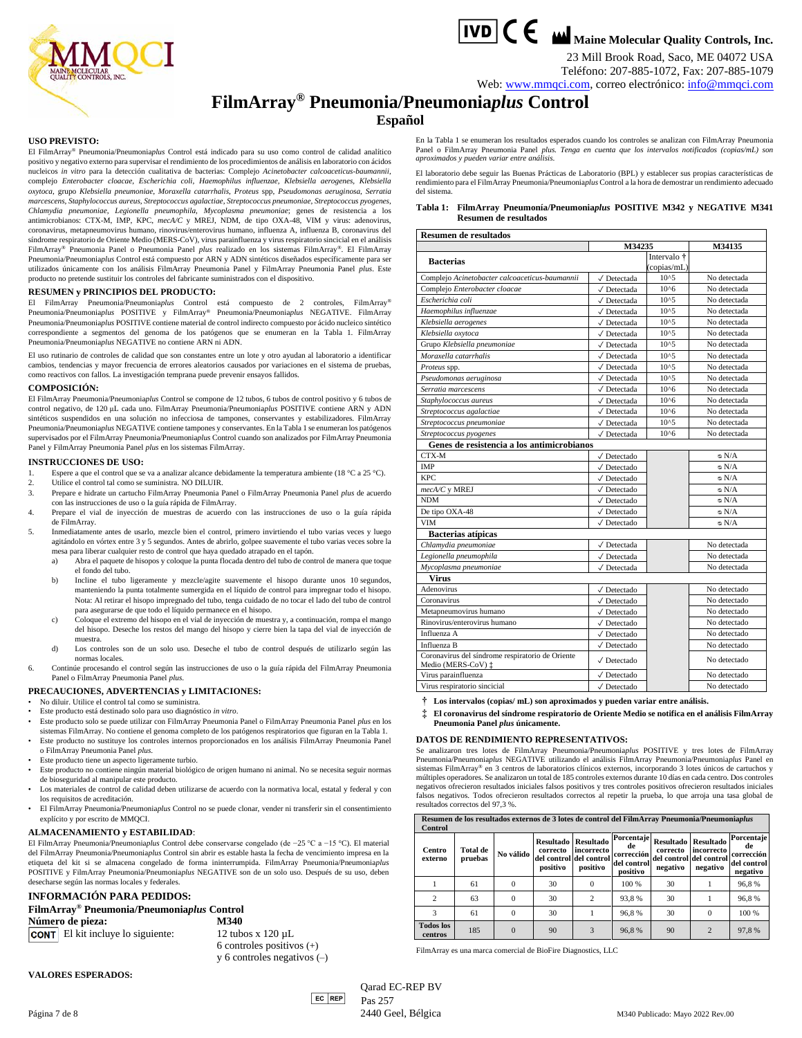



23 Mill Brook Road, Saco, ME 04072 USA Teléfono: 207-885-1072, Fax: 207-885-1079

Web: [www.mmqci.com,](http://www.mmqci.com/) correo electrónico: [info@mmqci.com](mailto:info@mmqci.com)

## **FilmArray® Pneumonia/Pneumonia***plus* **Control**

#### **Español**

#### **USO PREVISTO:**

El FilmArray® Pneumonia/Pneumonia*plus* Control está indicado para su uso como control de calidad analítico positivo y negativo externo para supervisar el rendimiento de los procedimientos de análisis en laboratorio con ácidos nucleicos *in vitro* para la detección cualitativa de bacterias: Complejo *Acinetobacter calcoaceticus-baumannii*, complejo *Enterobacter cloacae*, *Escherichia coli*, *Haemophilus influenzae, Klebsiella aerogenes, Klebsiella oxytoca*, grupo *Klebsiella pneumoniae*, *Moraxella catarrhalis*, *Proteus* spp, *Pseudomonas aeruginosa*, *Serratia marcescens*, *Staphylococcus aureus*, *Streptococcus agalactiae*, *Streptococcus pneumoniae*, *Streptococcus pyogenes*, *Chlamydia pneumoniae*, *Legionella pneumophila*, *Mycoplasma pneumoniae*; genes de resistencia a los antimicrobianos: CTX-M, IMP, KPC, *mecA/C* y MREJ, NDM, de tipo OXA-48, VIM y virus: adenovirus, coronavirus, metapneumovirus humano, rinovirus/enterovirus humano, influenza A, influenza B, coronavirus del síndrome respiratorio de Oriente Medio (MERS-CoV), virus parainfluenza y virus respiratorio sincicial en el análisis FilmArray® Pneumonia Panel o Pneumonia Panel *plus* realizado en los sistemas FilmArray®. El FilmArray Pneumonia/Pneumonia*plus* Control está compuesto por ARN y ADN sintéticos diseñados específicamente para ser utilizados únicamente con los análisis FilmArray Pneumonia Panel y FilmArray Pneumonia Panel *plus*. Este producto no pretende sustituir los controles del fabricante suministrados con el dispositivo.

#### **RESUMEN y PRINCIPIOS DEL PRODUCTO:**

El FilmArray Pneumonia/Pneumonia*plus* Control está compuesto de 2 controles, FilmArray® Pneumonia/Pneumonia*plus* POSITIVE y FilmArray® Pneumonia/Pneumonia*plus* NEGATIVE. FilmArray Pneumonia/Pneumonia*plus* POSITIVE contiene material de control indirecto compuesto por ácido nucleico sintético correspondiente a segmentos del genoma de los patógenos que se enumeran en la Tabla 1. FilmArray Pneumonia/Pneumonia*plus* NEGATIVE no contiene ARN ni ADN.

El uso rutinario de controles de calidad que son constantes entre un lote y otro ayudan al laboratorio a identificar cambios, tendencias y mayor frecuencia de errores aleatorios causados por variaciones en el sistema de pruebas, como reactivos con fallos. La investigación temprana puede prevenir ensayos fallidos.

#### **COMPOSICIÓN:**

El FilmArray Pneumonia/Pneumonia*plus* Control se compone de 12 tubos, 6 tubos de control positivo y 6 tubos de control negativo, de 120 μL cada uno. FilmArray Pneumonia/Pneumonia*plus* POSITIVE contiene ARN y ADN sintéticos suspendidos en una solución no infecciosa de tampones, conservantes y estabilizadores. FilmArray Pneumonia/Pneumonia*plus* NEGATIVE contiene tampones y conservantes. En la Tabla 1 se enumeran los patógenos supervisados por el FilmArray Pneumonia/Pneumonia*plus* Control cuando son analizados por FilmArray Pneumonia Panel y FilmArray Pneumonia Panel *plus* en los sistemas FilmArray.

#### **INSTRUCCIONES DE USO:**

- 1. Espere a que el control que se va a analizar alcance debidamente la temperatura ambiente (18 °C a 25 °C).
- 2. Utilice el control tal como se suministra. NO DILUIR.
- 3. Prepare e hidrate un cartucho FilmArray Pneumonia Panel o FilmArray Pneumonia Panel *plus* de acuerdo con las instrucciones de uso o la guía rápida de FilmArray.
- Prepare el vial de inyección de muestras de acuerdo con las instrucciones de uso o la guía rápida de FilmArray.
- 5. Inmediatamente antes de usarlo, mezcle bien el control, primero invirtiendo el tubo varias veces y luego agitándolo en vórtex entre 3 y 5 segundos. Antes de abrirlo, golpee suavemente el tubo varias veces sobre la mesa para liberar cualquier resto de control que haya quedado atrapado en el tapón.
	- a) Abra el paquete de hisopos y coloque la punta flocada dentro del tubo de control de manera que toque el fondo del tubo.
	- b) Incline el tubo ligeramente y mezcle/agite suavemente el hisopo durante unos 10 segundos, manteniendo la punta totalmente sumergida en el líquido de control para impregnar todo el hisopo. Nota: Al retirar el hisopo impregnado del tubo, tenga cuidado de no tocar el lado del tubo de control para asegurarse de que todo el líquido permanece en el hisopo.
	- c) Coloque el extremo del hisopo en el vial de inyección de muestra y, a continuación, rompa el mango del hisopo. Deseche los restos del mango del hisopo y cierre bien la tapa del vial de inyección de muestra.
	- d) Los controles son de un solo uso. Deseche el tubo de control después de utilizarlo según las normas locales.
- 6. Continúe procesando el control según las instrucciones de uso o la guía rápida del FilmArray Pneumonia Panel o FilmArray Pneumonia Panel *plus*.

#### **PRECAUCIONES, ADVERTENCIAS y LIMITACIONES:**

- No diluir. Utilice el control tal como se suministra.
- Este producto está destinado solo para uso diagnóstico *in vitro*.
- Este producto solo se puede utilizar con FilmArray Pneumonia Panel o FilmArray Pneumonia Panel *plus* en los sistemas FilmArray. No contiene el genoma completo de los patógenos respiratorios que figuran en la Tabla 1.
- Este producto no sustituye los controles internos proporcionados en los análisis FilmArray Pneumonia Panel o FilmArray Pneumonia Panel *plus*.
- Este producto tiene un aspecto ligeramente turbio.
- Este producto no contiene ningún material biológico de origen humano ni animal. No se necesita seguir normas de bioseguridad al manipular este producto.
- Los materiales de control de calidad deben utilizarse de acuerdo con la normativa local, estatal y federal y con los requisitos de acreditación.
- El FilmArray Pneumonia/Pneumonia*plus* Control no se puede clonar, vender ni transferir sin el consentimiento explícito y por escrito de MMQCI.

#### **ALMACENAMIENTO y ESTABILIDAD**:

El FilmArray Pneumonia/Pneumonia*plus* Control debe conservarse congelado (de −25 °C a −15 °C). El material del FilmArray Pneumonia/Pneumonia*plus* Control sin abrir es estable hasta la fecha de vencimiento impresa en la etiqueta del kit si se almacena congelado de forma ininterrumpida. FilmArray Pneumonia/Pneumonia*plus* POSITIVE y FilmArray Pneumonia/Pneumonia*plus* NEGATIVE son de un solo uso. Después de su uso, deben desecharse según las normas locales y federales.

#### **INFORMACIÓN PARA PEDIDOS:**

**FilmArray® Pneumonia/Pneumonia***plus* **Control Número de pieza: M340 CONT** El kit incluye lo siguiente:  $12 \text{ tubos } x \frac{120 \mu L}{ }$ 

6 controles positivos (+) y 6 controles negativos (–)

**VALORES ESPERADOS:**

 $|EC|$ REP Qarad EC-REP BV Pas 257

Página 7 de 8 2440 Feel, Bélgica 2440 Geel, Bélgica M340 Publicado: Mayo 2022 Rev.00

En la Tabla 1 se enumeran los resultados esperados cuando los controles se analizan con FilmArray Pneumonia Panel o FilmArray Pneumonia Panel *plus*. *Tenga en cuenta que los intervalos notificados (copias/mL) son aproximados y pueden variar entre análisis.*

El laboratorio debe seguir las Buenas Prácticas de Laboratorio (BPL) y establecer sus propias características de rendimiento para el FilmArray Pneumonia/Pneumonia*plus* Control a la hora de demostrar un rendimiento adecuado del sistema.

#### **Tabla 1: FilmArray Pneumonía/Pneumonia***plus* **POSITIVE M342 y NEGATIVE M341 Resumen de resultados**

| Resumen de resultados                                                  |                                |                                       |              |  |  |  |  |
|------------------------------------------------------------------------|--------------------------------|---------------------------------------|--------------|--|--|--|--|
|                                                                        | M34235                         | M34135                                |              |  |  |  |  |
| <b>Bacterias</b>                                                       |                                | Intervalo <sup>†</sup><br>(copias/mL) |              |  |  |  |  |
| Complejo Acinetobacter calcoaceticus-baumannii                         | √ Detectada                    | $10^{5}$                              | No detectada |  |  |  |  |
| Complejo Enterobacter cloacae                                          | $\sqrt{}$ Detectada            | $10^{6}$                              | No detectada |  |  |  |  |
| Escherichia coli                                                       | √ Detectada                    | $10^{5}$                              | No detectada |  |  |  |  |
| Haemophilus influenzae                                                 | √ Detectada                    | $10^{5}$                              | No detectada |  |  |  |  |
| Klebsiella aerogenes                                                   | √ Detectada                    | $10^{5}$                              | No detectada |  |  |  |  |
| Klebsiella oxytoca                                                     | $\sqrt{}$ Detectada            | $10^{5}$                              | No detectada |  |  |  |  |
| Grupo Klebsiella pneumoniae                                            | √ Detectada                    | $10^{5}$                              | No detectada |  |  |  |  |
| Moraxella catarrhalis                                                  | $\sqrt{}$ Detectada            | $10^{5}$                              | No detectada |  |  |  |  |
| Proteus spp.                                                           | √ Detectada                    | $10^{5}$                              | No detectada |  |  |  |  |
| Pseudomonas aeruginosa                                                 | √ Detectada                    | $10^{5}$                              | No detectada |  |  |  |  |
| Serratia marcescens                                                    | √ Detectada                    | $10^{6}$                              | No detectada |  |  |  |  |
| Staphylococcus aureus                                                  | √ Detectada                    | $10^{6}$                              | No detectada |  |  |  |  |
| Streptococcus agalactiae                                               | √ Detectada                    | $10^{6}$                              | No detectada |  |  |  |  |
| Streptococcus pneumoniae                                               | √ Detectada                    | $10^{5}$                              | No detectada |  |  |  |  |
| Streptococcus pyogenes                                                 | √ Detectada                    | $10^{6}$                              | No detectada |  |  |  |  |
| Genes de resistencia a los antimicrobianos                             |                                |                                       |              |  |  |  |  |
| CTX-M                                                                  | $\sqrt{}$ Detectado            |                                       | N/A ∞        |  |  |  |  |
| <b>IMP</b>                                                             | $\sqrt{\phantom{a}}$ Detectado |                                       | $\circ$ N/A  |  |  |  |  |
| <b>KPC</b>                                                             | $\sqrt{\phantom{a}}$ Detectado |                                       | $\circ$ N/A  |  |  |  |  |
| mecA/C y MREJ                                                          | √ Detectado                    |                                       | $\circ$ N/A  |  |  |  |  |
| <b>NDM</b>                                                             | √ Detectado                    |                                       | $\circ$ N/A  |  |  |  |  |
| De tipo OXA-48                                                         | √ Detectado                    |                                       | $\circ$ N/A  |  |  |  |  |
| <b>VIM</b>                                                             | $\sqrt{\phantom{a}}$ Detectado |                                       | $\circ$ N/A  |  |  |  |  |
| <b>Bacterias atípicas</b>                                              |                                |                                       |              |  |  |  |  |
| Chlamydia pneumoniae                                                   | √ Detectada                    |                                       | No detectada |  |  |  |  |
| Legionella pneumophila                                                 | √ Detectada                    |                                       | No detectada |  |  |  |  |
| Mycoplasma pneumoniae                                                  | √ Detectada                    |                                       | No detectada |  |  |  |  |
| <b>Virus</b>                                                           |                                |                                       |              |  |  |  |  |
| Adenovirus                                                             | √ Detectado                    |                                       | No detectado |  |  |  |  |
| Coronavirus                                                            | $\sqrt{}$ Detectado            |                                       | No detectado |  |  |  |  |
| Metapneumovirus humano                                                 | √ Detectado                    |                                       | No detectado |  |  |  |  |
| Rinovirus/enterovirus humano                                           | $\sqrt{}$ Detectado            |                                       | No detectado |  |  |  |  |
| Influenza A                                                            | $\sqrt{\phantom{a}}$ Detectado |                                       | No detectado |  |  |  |  |
| Influenza B                                                            | $\sqrt{}$ Detectado            |                                       | No detectado |  |  |  |  |
| Coronavirus del síndrome respiratorio de Oriente<br>Medio (MERS-CoV) ‡ | $\sqrt{}$ Detectado            |                                       | No detectado |  |  |  |  |
| Virus parainfluenza                                                    | $\sqrt{\phantom{a}}$ Detectado |                                       | No detectado |  |  |  |  |
| Virus respiratorio sincicial                                           | √ Detectado                    |                                       | No detectado |  |  |  |  |

**† Los intervalos (copias/ mL) son aproximados y pueden variar entre análisis.**

**‡ El coronavirus del síndrome respiratorio de Oriente Medio se notifica en el análisis FilmArray Pneumonia Panel** *plus* **únicamente.**

#### **DATOS DE RENDIMIENTO REPRESENTATIVOS:**

Se analizaron tres lotes de FilmArray Pneumonia/Pneumonia*plus* POSITIVE y tres lotes de FilmArray Pneumonia/Pneumonia*plus* NEGATIVE utilizando el análisis FilmArray Pneumonia/Pneumonia*plus* Panel en sistemas FilmArray® en 3 centros de laboratorios clínicos externos, incorporando 3 lotes únicos de cartuchos y múltiples operadores. Se analizaron un total de 185 controles externos durante 10 días en cada centro. Dos controles negativos ofrecieron resultados iniciales falsos positivos y tres controles positivos ofrecieron resultados iniciales<br>falsos negativos. Todos ofrecieron resultados correctos al repetir la prueba, lo que arroja una tasa glo resultados correctos del 97,3 %.

| Resumen de los resultados externos de 3 lotes de control del FilmArray Pneumonia/Pneumoniaplus<br>Control |                     |           |                                                              |                                            |                                                           |                                          |                                                                       |                                                           |
|-----------------------------------------------------------------------------------------------------------|---------------------|-----------|--------------------------------------------------------------|--------------------------------------------|-----------------------------------------------------------|------------------------------------------|-----------------------------------------------------------------------|-----------------------------------------------------------|
| Centro<br>externo                                                                                         | Total de<br>pruebas | No válido | Resultado<br>correcto<br>del control del control<br>positivo | <b>Resultado</b><br>incorrecto<br>positivo | Porcentaje<br>de<br>corrección<br>del control<br>positivo | <b>Resultado</b><br>correcto<br>negativo | <b>Resultado</b><br>incorrecto<br>del control del control<br>negativo | Porcentaie<br>de<br>corrección<br>del control<br>negativo |
|                                                                                                           | 61                  | $\Omega$  | 30                                                           | $\Omega$                                   | 100 %                                                     | 30                                       |                                                                       | 96.8%                                                     |
| 2                                                                                                         | 63                  | $\Omega$  | 30                                                           | $\overline{c}$                             | 93.8%                                                     | 30                                       |                                                                       | 96,8%                                                     |
| 3                                                                                                         | 61                  | $\Omega$  | 30                                                           |                                            | 96.8%                                                     | 30                                       | 0                                                                     | 100 %                                                     |
| <b>Todos</b> los<br>centros                                                                               | 185                 | $\Omega$  | 90                                                           | 3                                          | 96.8%                                                     | 90                                       | $\overline{2}$                                                        | 97,8%                                                     |

FilmArray es una marca comercial de BioFire Diagnostics, LLC